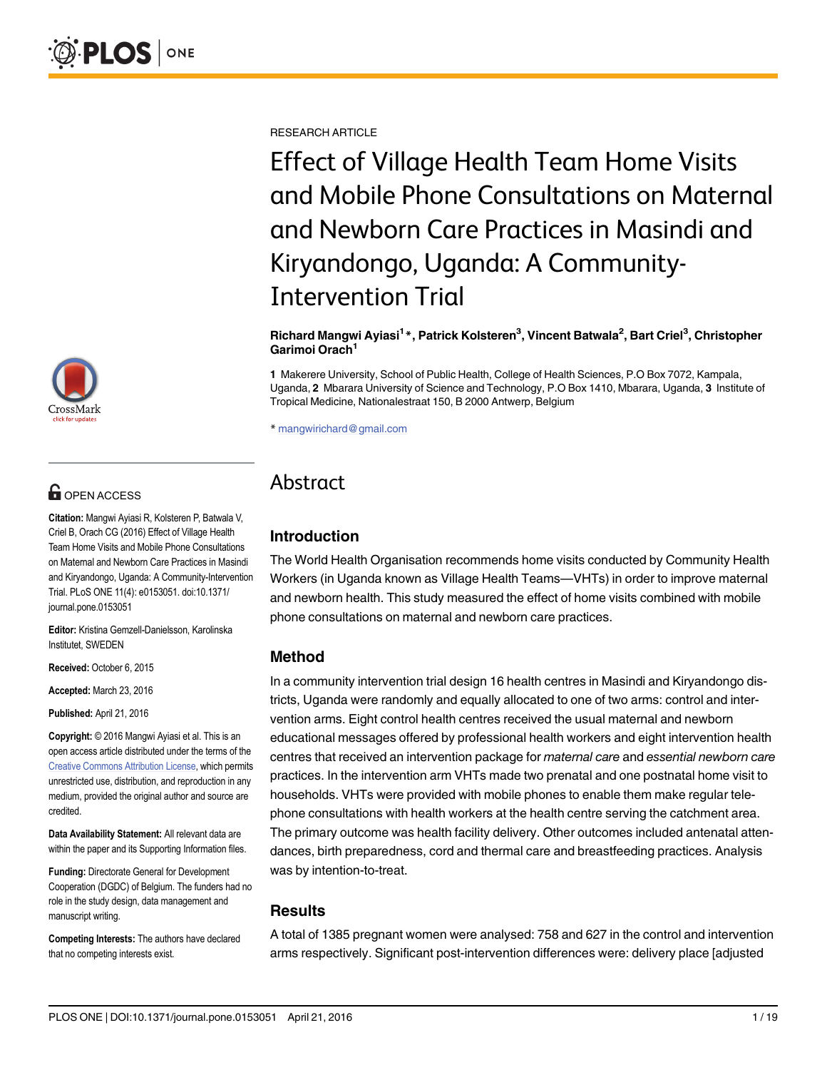

# **G** OPEN ACCESS

Citation: Mangwi Ayiasi R, Kolsteren P, Batwala V, Criel B, Orach CG (2016) Effect of Village Health Team Home Visits and Mobile Phone Consultations on Maternal and Newborn Care Practices in Masindi and Kiryandongo, Uganda: A Community-Intervention Trial. PLoS ONE 11(4): e0153051. doi:10.1371/ journal.pone.0153051

Editor: Kristina Gemzell-Danielsson, Karolinska Institutet, SWEDEN

Received: October 6, 2015

Accepted: March 23, 2016

Published: April 21, 2016

Copyright: © 2016 Mangwi Ayiasi et al. This is an open access article distributed under the terms of the [Creative Commons Attribution License,](http://creativecommons.org/licenses/by/4.0/) which permits unrestricted use, distribution, and reproduction in any medium, provided the original author and source are credited.

Data Availability Statement: All relevant data are within the paper and its Supporting Information files.

Funding: Directorate General for Development Cooperation (DGDC) of Belgium. The funders had no role in the study design, data management and manuscript writing.

Competing Interests: The authors have declared that no competing interests exist.

RESEARCH ARTICLE

Effect of Village Health Team Home Visits and Mobile Phone Consultations on Maternal and Newborn Care Practices in Masindi and Kiryandongo, Uganda: A Community-Intervention Trial

#### Richard Mangwi Ayiasi<sup>1</sup>\*, Patrick Kolsteren<sup>3</sup>, Vincent Batwala<sup>2</sup>, Bart Criel<sup>3</sup>, Christopher Garimoi Orach<sup>1</sup>

1 Makerere University, School of Public Health, College of Health Sciences, P.O Box 7072, Kampala, Uganda, 2 Mbarara University of Science and Technology, P.O Box 1410, Mbarara, Uganda, 3 Institute of Tropical Medicine, Nationalestraat 150, B 2000 Antwerp, Belgium

\* mangwirichard@gmail.com

## Abstract

## Introduction

The World Health Organisation recommends home visits conducted by Community Health Workers (in Uganda known as Village Health Teams—VHTs) in order to improve maternal and newborn health. This study measured the effect of home visits combined with mobile phone consultations on maternal and newborn care practices.

### Method

In a community intervention trial design 16 health centres in Masindi and Kiryandongo districts, Uganda were randomly and equally allocated to one of two arms: control and intervention arms. Eight control health centres received the usual maternal and newborn educational messages offered by professional health workers and eight intervention health centres that received an intervention package for maternal care and essential newborn care practices. In the intervention arm VHTs made two prenatal and one postnatal home visit to households. VHTs were provided with mobile phones to enable them make regular telephone consultations with health workers at the health centre serving the catchment area. The primary outcome was health facility delivery. Other outcomes included antenatal attendances, birth preparedness, cord and thermal care and breastfeeding practices. Analysis was by intention-to-treat.

## **Results**

A total of 1385 pregnant women were analysed: 758 and 627 in the control and intervention arms respectively. Significant post-intervention differences were: delivery place [adjusted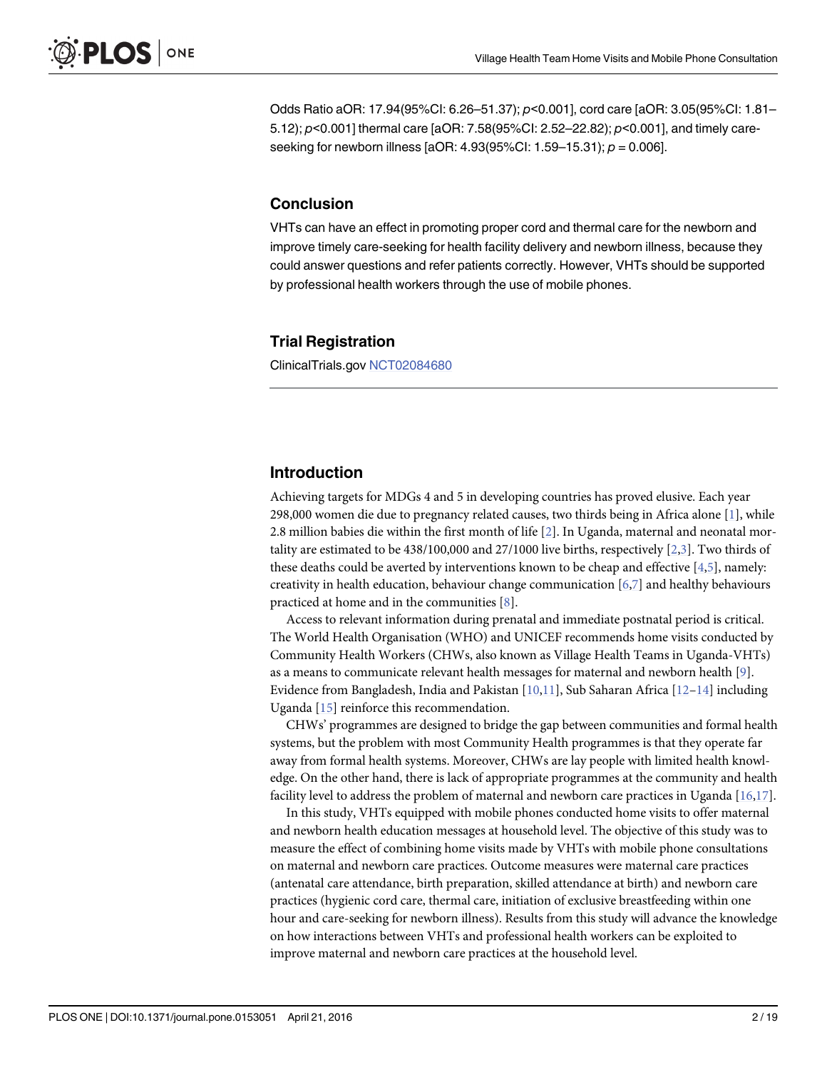<span id="page-1-0"></span>Odds Ratio aOR: 17.94(95%CI: 6.26–51.37); p<0.001], cord care [aOR: 3.05(95%CI: 1.81– 5.12); p<0.001] thermal care [aOR: 7.58(95%CI: 2.52–22.82); p<0.001], and timely careseeking for newborn illness [aOR: 4.93(95%CI: 1.59-15.31);  $p = 0.006$ ].

#### Conclusion

VHTs can have an effect in promoting proper cord and thermal care for the newborn and improve timely care-seeking for health facility delivery and newborn illness, because they could answer questions and refer patients correctly. However, VHTs should be supported by professional health workers through the use of mobile phones.

#### Trial Registration

ClinicalTrials.gov [NCT02084680](https://clinicaltrials.gov/ct2/show/NCT02084680/NCT02084680)

#### Introduction

Achieving targets for MDGs 4 and 5 in developing countries has proved elusive. Each year 298,000 women die due to pregnancy related causes, two thirds being in Africa alone [[1](#page-16-0)], while 2.8 million babies die within the first month of life  $[2]$  $[2]$ . In Uganda, maternal and neonatal mortality are estimated to be 438/100,000 and 27/1000 live births, respectively [[2,3\]](#page-16-0). Two thirds of these deaths could be averted by interventions known to be cheap and effective [[4](#page-16-0),[5](#page-16-0)], namely: creativity in health education, behaviour change communication [\[6,](#page-16-0)[7\]](#page-17-0) and healthy behaviours practiced at home and in the communities [\[8\]](#page-17-0).

Access to relevant information during prenatal and immediate postnatal period is critical. The World Health Organisation (WHO) and UNICEF recommends home visits conducted by Community Health Workers (CHWs, also known as Village Health Teams in Uganda-VHTs) as a means to communicate relevant health messages for maternal and newborn health [\[9\]](#page-17-0). Evidence from Bangladesh, India and Pakistan  $[10,11]$  $[10,11]$  $[10,11]$ , Sub Saharan Africa  $[12-14]$  $[12-14]$  $[12-14]$  $[12-14]$  $[12-14]$  including Uganda [[15\]](#page-17-0) reinforce this recommendation.

CHWs' programmes are designed to bridge the gap between communities and formal health systems, but the problem with most Community Health programmes is that they operate far away from formal health systems. Moreover, CHWs are lay people with limited health knowledge. On the other hand, there is lack of appropriate programmes at the community and health facility level to address the problem of maternal and newborn care practices in Uganda  $[16,17]$  $[16,17]$  $[16,17]$  $[16,17]$  $[16,17]$ .

In this study, VHTs equipped with mobile phones conducted home visits to offer maternal and newborn health education messages at household level. The objective of this study was to measure the effect of combining home visits made by VHTs with mobile phone consultations on maternal and newborn care practices. Outcome measures were maternal care practices (antenatal care attendance, birth preparation, skilled attendance at birth) and newborn care practices (hygienic cord care, thermal care, initiation of exclusive breastfeeding within one hour and care-seeking for newborn illness). Results from this study will advance the knowledge on how interactions between VHTs and professional health workers can be exploited to improve maternal and newborn care practices at the household level.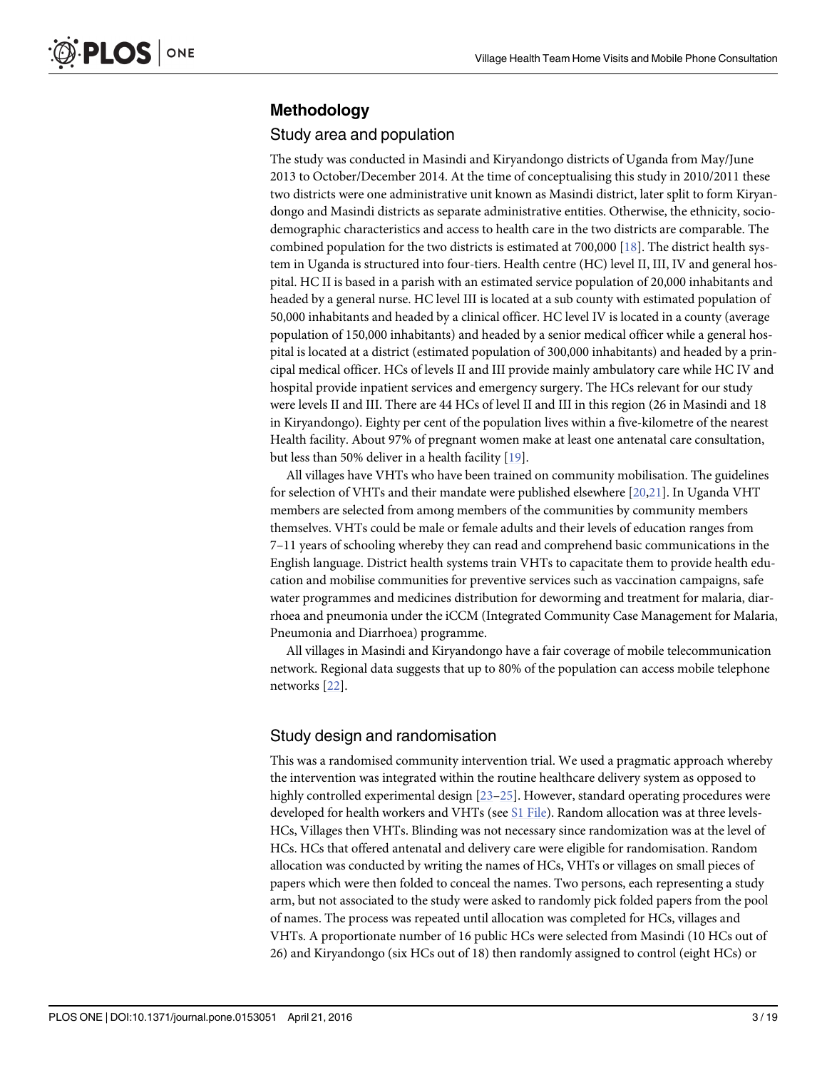## <span id="page-2-0"></span>Methodology

#### Study area and population

The study was conducted in Masindi and Kiryandongo districts of Uganda from May/June 2013 to October/December 2014. At the time of conceptualising this study in 2010/2011 these two districts were one administrative unit known as Masindi district, later split to form Kiryandongo and Masindi districts as separate administrative entities. Otherwise, the ethnicity, sociodemographic characteristics and access to health care in the two districts are comparable. The combined population for the two districts is estimated at 700,000 [\[18\]](#page-17-0). The district health system in Uganda is structured into four-tiers. Health centre (HC) level II, III, IV and general hospital. HC II is based in a parish with an estimated service population of 20,000 inhabitants and headed by a general nurse. HC level III is located at a sub county with estimated population of 50,000 inhabitants and headed by a clinical officer. HC level IV is located in a county (average population of 150,000 inhabitants) and headed by a senior medical officer while a general hospital is located at a district (estimated population of 300,000 inhabitants) and headed by a principal medical officer. HCs of levels II and III provide mainly ambulatory care while HC IV and hospital provide inpatient services and emergency surgery. The HCs relevant for our study were levels II and III. There are 44 HCs of level II and III in this region (26 in Masindi and 18 in Kiryandongo). Eighty per cent of the population lives within a five-kilometre of the nearest Health facility. About 97% of pregnant women make at least one antenatal care consultation, but less than 50% deliver in a health facility [\[19](#page-17-0)].

All villages have VHTs who have been trained on community mobilisation. The guidelines for selection of VHTs and their mandate were published elsewhere  $[20,21]$  $[20,21]$  $[20,21]$  $[20,21]$  $[20,21]$ . In Uganda VHT members are selected from among members of the communities by community members themselves. VHTs could be male or female adults and their levels of education ranges from 7–11 years of schooling whereby they can read and comprehend basic communications in the English language. District health systems train VHTs to capacitate them to provide health education and mobilise communities for preventive services such as vaccination campaigns, safe water programmes and medicines distribution for deworming and treatment for malaria, diarrhoea and pneumonia under the iCCM (Integrated Community Case Management for Malaria, Pneumonia and Diarrhoea) programme.

All villages in Masindi and Kiryandongo have a fair coverage of mobile telecommunication network. Regional data suggests that up to 80% of the population can access mobile telephone networks [\[22\]](#page-17-0).

### Study design and randomisation

This was a randomised community intervention trial. We used a pragmatic approach whereby the intervention was integrated within the routine healthcare delivery system as opposed to highly controlled experimental design [[23](#page-17-0)-[25\]](#page-17-0). However, standard operating procedures were developed for health workers and VHTs (see [S1 File\)](#page-16-0). Random allocation was at three levels-HCs, Villages then VHTs. Blinding was not necessary since randomization was at the level of HCs. HCs that offered antenatal and delivery care were eligible for randomisation. Random allocation was conducted by writing the names of HCs, VHTs or villages on small pieces of papers which were then folded to conceal the names. Two persons, each representing a study arm, but not associated to the study were asked to randomly pick folded papers from the pool of names. The process was repeated until allocation was completed for HCs, villages and VHTs. A proportionate number of 16 public HCs were selected from Masindi (10 HCs out of 26) and Kiryandongo (six HCs out of 18) then randomly assigned to control (eight HCs) or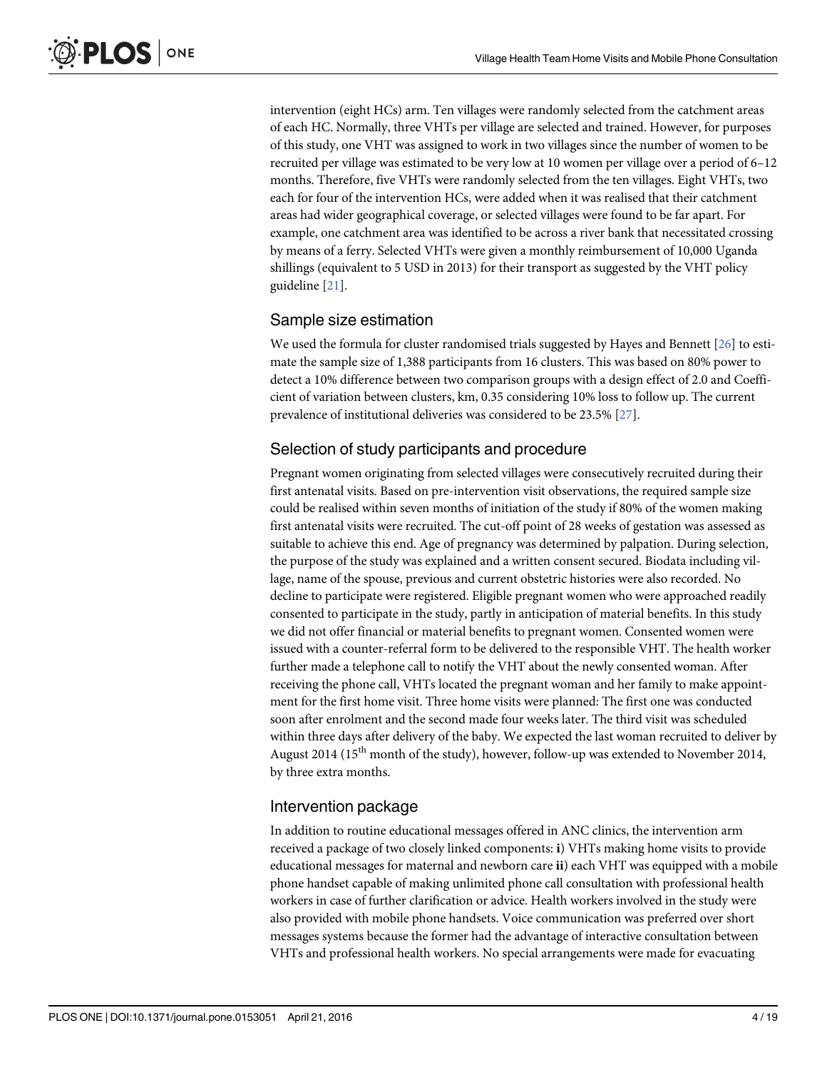<span id="page-3-0"></span>intervention (eight HCs) arm. Ten villages were randomly selected from the catchment areas of each HC. Normally, three VHTs per village are selected and trained. However, for purposes of this study, one VHT was assigned to work in two villages since the number of women to be recruited per village was estimated to be very low at 10 women per village over a period of 6–12 months. Therefore, five VHTs were randomly selected from the ten villages. Eight VHTs, two each for four of the intervention HCs, were added when it was realised that their catchment areas had wider geographical coverage, or selected villages were found to be far apart. For example, one catchment area was identified to be across a river bank that necessitated crossing by means of a ferry. Selected VHTs were given a monthly reimbursement of 10,000 Uganda shillings (equivalent to 5 USD in 2013) for their transport as suggested by the VHT policy guideline [\[21\]](#page-17-0).

#### Sample size estimation

We used the formula for cluster randomised trials suggested by Hayes and Bennett [[26\]](#page-17-0) to estimate the sample size of 1,388 participants from 16 clusters. This was based on 80% power to detect a 10% difference between two comparison groups with a design effect of 2.0 and Coefficient of variation between clusters, km, 0.35 considering 10% loss to follow up. The current prevalence of institutional deliveries was considered to be 23.5% [[27](#page-17-0)].

### Selection of study participants and procedure

Pregnant women originating from selected villages were consecutively recruited during their first antenatal visits. Based on pre-intervention visit observations, the required sample size could be realised within seven months of initiation of the study if 80% of the women making first antenatal visits were recruited. The cut-off point of 28 weeks of gestation was assessed as suitable to achieve this end. Age of pregnancy was determined by palpation. During selection, the purpose of the study was explained and a written consent secured. Biodata including village, name of the spouse, previous and current obstetric histories were also recorded. No decline to participate were registered. Eligible pregnant women who were approached readily consented to participate in the study, partly in anticipation of material benefits. In this study we did not offer financial or material benefits to pregnant women. Consented women were issued with a counter-referral form to be delivered to the responsible VHT. The health worker further made a telephone call to notify the VHT about the newly consented woman. After receiving the phone call, VHTs located the pregnant woman and her family to make appointment for the first home visit. Three home visits were planned: The first one was conducted soon after enrolment and the second made four weeks later. The third visit was scheduled within three days after delivery of the baby. We expected the last woman recruited to deliver by August 2014 (15<sup>th</sup> month of the study), however, follow-up was extended to November 2014, by three extra months.

### Intervention package

In addition to routine educational messages offered in ANC clinics, the intervention arm received a package of two closely linked components: i) VHTs making home visits to provide educational messages for maternal and newborn care ii) each VHT was equipped with a mobile phone handset capable of making unlimited phone call consultation with professional health workers in case of further clarification or advice. Health workers involved in the study were also provided with mobile phone handsets. Voice communication was preferred over short messages systems because the former had the advantage of interactive consultation between VHTs and professional health workers. No special arrangements were made for evacuating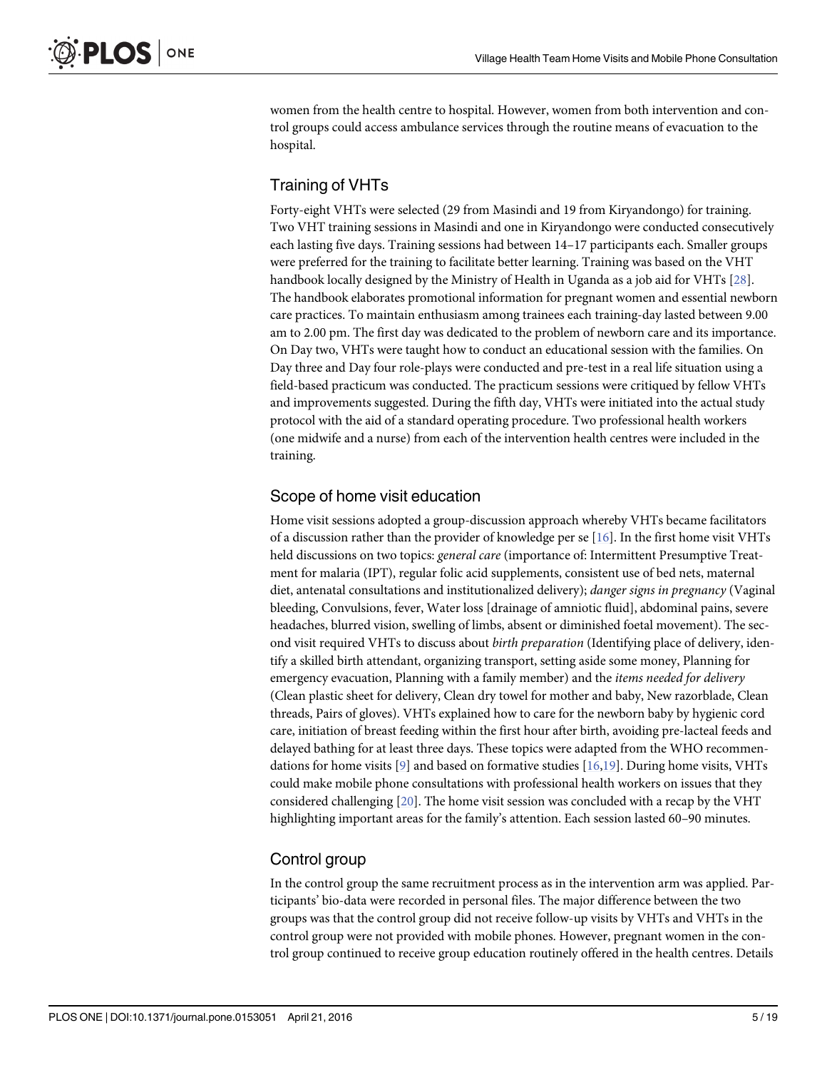<span id="page-4-0"></span>women from the health centre to hospital. However, women from both intervention and control groups could access ambulance services through the routine means of evacuation to the hospital.

## Training of VHTs

Forty-eight VHTs were selected (29 from Masindi and 19 from Kiryandongo) for training. Two VHT training sessions in Masindi and one in Kiryandongo were conducted consecutively each lasting five days. Training sessions had between 14–17 participants each. Smaller groups were preferred for the training to facilitate better learning. Training was based on the VHT handbook locally designed by the Ministry of Health in Uganda as a job aid for VHTs [\[28\]](#page-17-0). The handbook elaborates promotional information for pregnant women and essential newborn care practices. To maintain enthusiasm among trainees each training-day lasted between 9.00 am to 2.00 pm. The first day was dedicated to the problem of newborn care and its importance. On Day two, VHTs were taught how to conduct an educational session with the families. On Day three and Day four role-plays were conducted and pre-test in a real life situation using a field-based practicum was conducted. The practicum sessions were critiqued by fellow VHTs and improvements suggested. During the fifth day, VHTs were initiated into the actual study protocol with the aid of a standard operating procedure. Two professional health workers (one midwife and a nurse) from each of the intervention health centres were included in the training.

#### Scope of home visit education

Home visit sessions adopted a group-discussion approach whereby VHTs became facilitators of a discussion rather than the provider of knowledge per se [[16](#page-17-0)]. In the first home visit VHTs held discussions on two topics: general care (importance of: Intermittent Presumptive Treatment for malaria (IPT), regular folic acid supplements, consistent use of bed nets, maternal diet, antenatal consultations and institutionalized delivery); danger signs in pregnancy (Vaginal bleeding, Convulsions, fever, Water loss [drainage of amniotic fluid], abdominal pains, severe headaches, blurred vision, swelling of limbs, absent or diminished foetal movement). The second visit required VHTs to discuss about birth preparation (Identifying place of delivery, identify a skilled birth attendant, organizing transport, setting aside some money, Planning for emergency evacuation, Planning with a family member) and the *items needed for delivery* (Clean plastic sheet for delivery, Clean dry towel for mother and baby, New razorblade, Clean threads, Pairs of gloves). VHTs explained how to care for the newborn baby by hygienic cord care, initiation of breast feeding within the first hour after birth, avoiding pre-lacteal feeds and delayed bathing for at least three days. These topics were adapted from the WHO recommen-dations for home visits [[9\]](#page-17-0) and based on formative studies [[16,19\]](#page-17-0). During home visits, VHTs could make mobile phone consultations with professional health workers on issues that they considered challenging  $[20]$  $[20]$  $[20]$ . The home visit session was concluded with a recap by the VHT highlighting important areas for the family's attention. Each session lasted 60–90 minutes.

### Control group

In the control group the same recruitment process as in the intervention arm was applied. Participants' bio-data were recorded in personal files. The major difference between the two groups was that the control group did not receive follow-up visits by VHTs and VHTs in the control group were not provided with mobile phones. However, pregnant women in the control group continued to receive group education routinely offered in the health centres. Details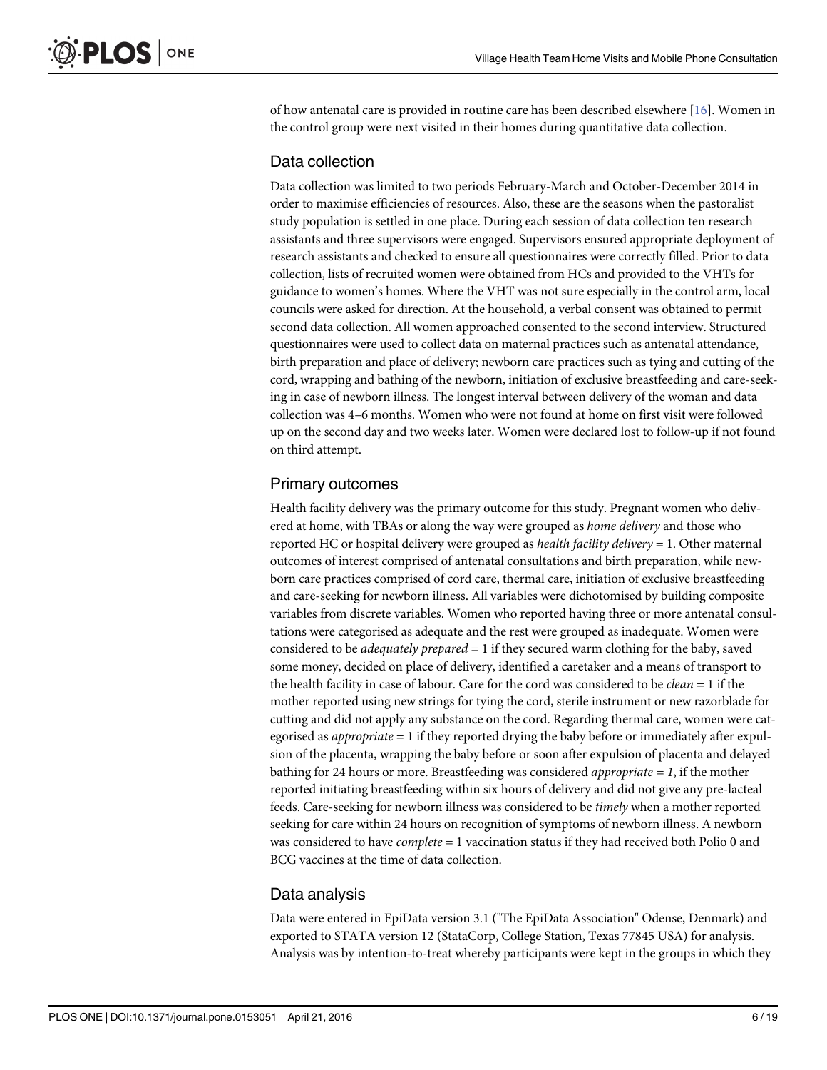of how antenatal care is provided in routine care has been described elsewhere [\[16\]](#page-17-0). Women in the control group were next visited in their homes during quantitative data collection.

## Data collection

Data collection was limited to two periods February-March and October-December 2014 in order to maximise efficiencies of resources. Also, these are the seasons when the pastoralist study population is settled in one place. During each session of data collection ten research assistants and three supervisors were engaged. Supervisors ensured appropriate deployment of research assistants and checked to ensure all questionnaires were correctly filled. Prior to data collection, lists of recruited women were obtained from HCs and provided to the VHTs for guidance to women's homes. Where the VHT was not sure especially in the control arm, local councils were asked for direction. At the household, a verbal consent was obtained to permit second data collection. All women approached consented to the second interview. Structured questionnaires were used to collect data on maternal practices such as antenatal attendance, birth preparation and place of delivery; newborn care practices such as tying and cutting of the cord, wrapping and bathing of the newborn, initiation of exclusive breastfeeding and care-seeking in case of newborn illness. The longest interval between delivery of the woman and data collection was 4–6 months. Women who were not found at home on first visit were followed up on the second day and two weeks later. Women were declared lost to follow-up if not found on third attempt.

## Primary outcomes

Health facility delivery was the primary outcome for this study. Pregnant women who delivered at home, with TBAs or along the way were grouped as home delivery and those who reported HC or hospital delivery were grouped as *health facility delivery* = 1. Other maternal outcomes of interest comprised of antenatal consultations and birth preparation, while newborn care practices comprised of cord care, thermal care, initiation of exclusive breastfeeding and care-seeking for newborn illness. All variables were dichotomised by building composite variables from discrete variables. Women who reported having three or more antenatal consultations were categorised as adequate and the rest were grouped as inadequate. Women were considered to be *adequately prepared*  $= 1$  if they secured warm clothing for the baby, saved some money, decided on place of delivery, identified a caretaker and a means of transport to the health facility in case of labour. Care for the cord was considered to be *clean* = 1 if the mother reported using new strings for tying the cord, sterile instrument or new razorblade for cutting and did not apply any substance on the cord. Regarding thermal care, women were categorised as *appropriate*  $= 1$  if they reported drying the baby before or immediately after expulsion of the placenta, wrapping the baby before or soon after expulsion of placenta and delayed bathing for 24 hours or more. Breastfeeding was considered *appropriate*  $= 1$ , if the mother reported initiating breastfeeding within six hours of delivery and did not give any pre-lacteal feeds. Care-seeking for newborn illness was considered to be timely when a mother reported seeking for care within 24 hours on recognition of symptoms of newborn illness. A newborn was considered to have *complete* = 1 vaccination status if they had received both Polio 0 and BCG vaccines at the time of data collection.

## Data analysis

Data were entered in EpiData version 3.1 ("The EpiData Association" Odense, Denmark) and exported to STATA version 12 (StataCorp, College Station, Texas 77845 USA) for analysis. Analysis was by intention-to-treat whereby participants were kept in the groups in which they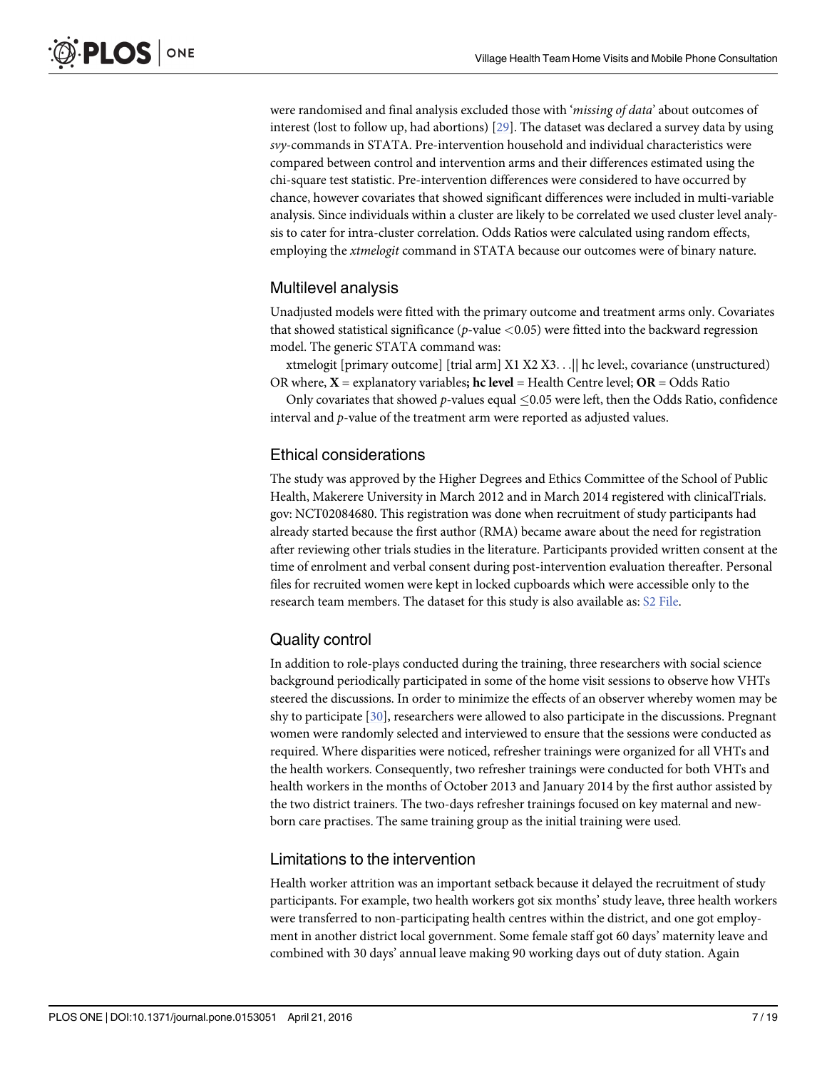<span id="page-6-0"></span>were randomised and final analysis excluded those with 'missing of data' about outcomes of interest (lost to follow up, had abortions) [[29](#page-18-0)]. The dataset was declared a survey data by using svy-commands in STATA. Pre-intervention household and individual characteristics were compared between control and intervention arms and their differences estimated using the chi-square test statistic. Pre-intervention differences were considered to have occurred by chance, however covariates that showed significant differences were included in multi-variable analysis. Since individuals within a cluster are likely to be correlated we used cluster level analysis to cater for intra-cluster correlation. Odds Ratios were calculated using random effects, employing the *xtmelogit* command in STATA because our outcomes were of binary nature.

#### Multilevel analysis

Unadjusted models were fitted with the primary outcome and treatment arms only. Covariates that showed statistical significance ( $p$ -value  $<0.05$ ) were fitted into the backward regression model. The generic STATA command was:

xtmelogit [primary outcome] [trial arm] X1 X2 X3...|| hc level:, covariance (unstructured) OR where,  $X =$  explanatory variables; hc level = Health Centre level; OR = Odds Ratio

Only covariates that showed p-values equal  $\leq 0.05$  were left, then the Odds Ratio, confidence interval and p-value of the treatment arm were reported as adjusted values.

#### Ethical considerations

The study was approved by the Higher Degrees and Ethics Committee of the School of Public Health, Makerere University in March 2012 and in March 2014 registered with clinicalTrials. gov: NCT02084680. This registration was done when recruitment of study participants had already started because the first author (RMA) became aware about the need for registration after reviewing other trials studies in the literature. Participants provided written consent at the time of enrolment and verbal consent during post-intervention evaluation thereafter. Personal files for recruited women were kept in locked cupboards which were accessible only to the research team members. The dataset for this study is also available as: [S2 File](#page-16-0).

### Quality control

In addition to role-plays conducted during the training, three researchers with social science background periodically participated in some of the home visit sessions to observe how VHTs steered the discussions. In order to minimize the effects of an observer whereby women may be shy to participate [\[30\]](#page-18-0), researchers were allowed to also participate in the discussions. Pregnant women were randomly selected and interviewed to ensure that the sessions were conducted as required. Where disparities were noticed, refresher trainings were organized for all VHTs and the health workers. Consequently, two refresher trainings were conducted for both VHTs and health workers in the months of October 2013 and January 2014 by the first author assisted by the two district trainers. The two-days refresher trainings focused on key maternal and newborn care practises. The same training group as the initial training were used.

#### Limitations to the intervention

Health worker attrition was an important setback because it delayed the recruitment of study participants. For example, two health workers got six months' study leave, three health workers were transferred to non-participating health centres within the district, and one got employment in another district local government. Some female staff got 60 days' maternity leave and combined with 30 days' annual leave making 90 working days out of duty station. Again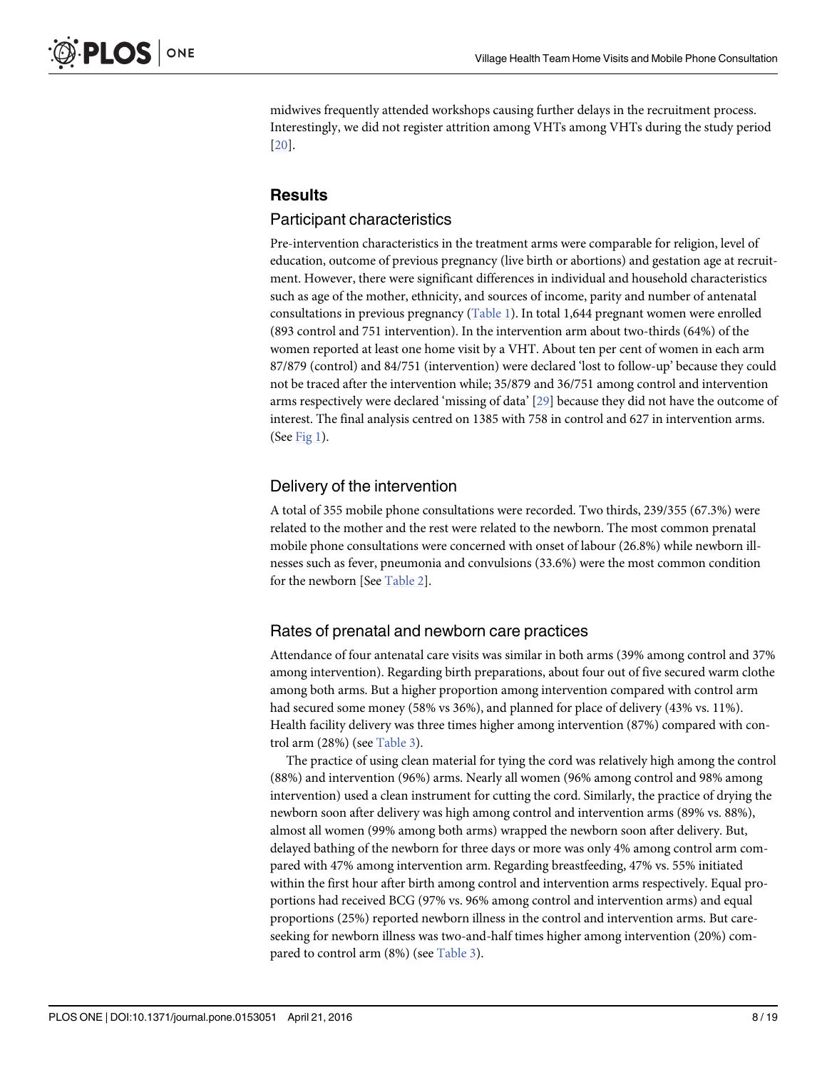<span id="page-7-0"></span>midwives frequently attended workshops causing further delays in the recruitment process. Interestingly, we did not register attrition among VHTs among VHTs during the study period [\[20](#page-17-0)].

## **Results**

#### Participant characteristics

Pre-intervention characteristics in the treatment arms were comparable for religion, level of education, outcome of previous pregnancy (live birth or abortions) and gestation age at recruitment. However, there were significant differences in individual and household characteristics such as age of the mother, ethnicity, and sources of income, parity and number of antenatal consultations in previous pregnancy [\(Table 1](#page-8-0)). In total 1,644 pregnant women were enrolled (893 control and 751 intervention). In the intervention arm about two-thirds (64%) of the women reported at least one home visit by a VHT. About ten per cent of women in each arm 87/879 (control) and 84/751 (intervention) were declared 'lost to follow-up' because they could not be traced after the intervention while; 35/879 and 36/751 among control and intervention arms respectively were declared 'missing of data' [\[29\]](#page-18-0) because they did not have the outcome of interest. The final analysis centred on 1385 with 758 in control and 627 in intervention arms. (See  $Fig 1$ ).

#### Delivery of the intervention

A total of 355 mobile phone consultations were recorded. Two thirds, 239/355 (67.3%) were related to the mother and the rest were related to the newborn. The most common prenatal mobile phone consultations were concerned with onset of labour (26.8%) while newborn illnesses such as fever, pneumonia and convulsions (33.6%) were the most common condition for the newborn [See [Table 2](#page-10-0)].

#### Rates of prenatal and newborn care practices

Attendance of four antenatal care visits was similar in both arms (39% among control and 37% among intervention). Regarding birth preparations, about four out of five secured warm clothe among both arms. But a higher proportion among intervention compared with control arm had secured some money (58% vs 36%), and planned for place of delivery (43% vs. 11%). Health facility delivery was three times higher among intervention (87%) compared with control arm (28%) (see [Table 3\)](#page-11-0).

The practice of using clean material for tying the cord was relatively high among the control (88%) and intervention (96%) arms. Nearly all women (96% among control and 98% among intervention) used a clean instrument for cutting the cord. Similarly, the practice of drying the newborn soon after delivery was high among control and intervention arms (89% vs. 88%), almost all women (99% among both arms) wrapped the newborn soon after delivery. But, delayed bathing of the newborn for three days or more was only 4% among control arm compared with 47% among intervention arm. Regarding breastfeeding, 47% vs. 55% initiated within the first hour after birth among control and intervention arms respectively. Equal proportions had received BCG (97% vs. 96% among control and intervention arms) and equal proportions (25%) reported newborn illness in the control and intervention arms. But careseeking for newborn illness was two-and-half times higher among intervention (20%) compared to control arm (8%) (see [Table 3\)](#page-11-0).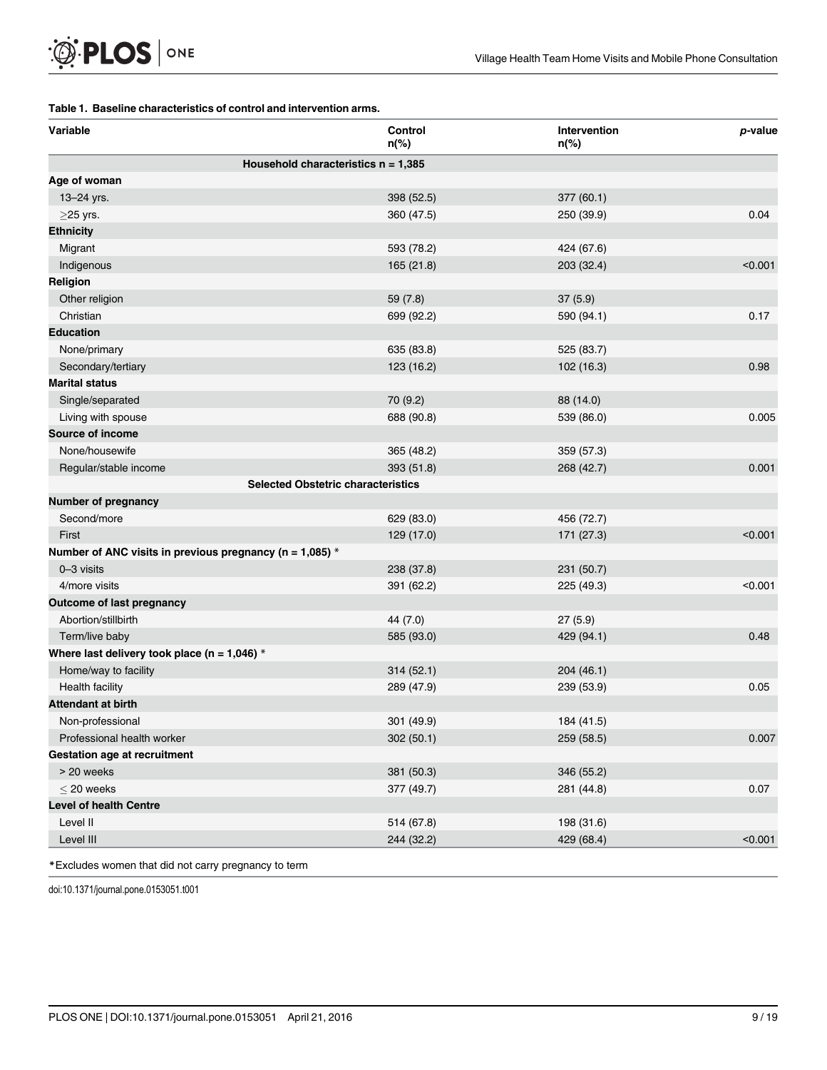#### <span id="page-8-0"></span>[Table 1.](#page-7-0) Baseline characteristics of control and intervention arms.

| Household characteristics $n = 1,385$<br>Age of woman<br>398 (52.5)<br>377 (60.1)<br>13-24 yrs.<br>0.04<br>360 (47.5)<br>250 (39.9)<br>$\geq$ 25 yrs.<br><b>Ethnicity</b><br>593 (78.2)<br>424 (67.6)<br>Migrant<br>Indigenous<br>165 (21.8)<br>203 (32.4)<br>< 0.001<br>Religion<br>Other religion<br>59 (7.8)<br>37(5.9)<br>Christian<br>0.17<br>699 (92.2)<br>590 (94.1)<br><b>Education</b><br>None/primary<br>635 (83.8)<br>525 (83.7)<br>Secondary/tertiary<br>123 (16.2)<br>102 (16.3)<br>0.98<br><b>Marital status</b><br>Single/separated<br>70 (9.2)<br>88 (14.0)<br>688 (90.8)<br>539 (86.0)<br>Living with spouse<br>Source of income<br>None/housewife<br>365 (48.2)<br>359 (57.3)<br>393 (51.8)<br>268 (42.7)<br>Regular/stable income<br><b>Selected Obstetric characteristics</b><br>Number of pregnancy<br>Second/more<br>629 (83.0)<br>456 (72.7)<br>129 (17.0)<br>171 (27.3)<br>First<br>Number of ANC visits in previous pregnancy ( $n = 1,085$ ) *<br>0-3 visits<br>238 (37.8)<br>231 (50.7)<br>4/more visits<br>< 0.001<br>391 (62.2)<br>225 (49.3)<br><b>Outcome of last pregnancy</b><br>Abortion/stillbirth<br>44 (7.0)<br>27(5.9)<br>585 (93.0)<br>429 (94.1)<br>0.48<br>Term/live baby<br>Where last delivery took place (n = 1,046) $*$<br>Home/way to facility<br>314(52.1)<br>204 (46.1)<br><b>Health facility</b><br>289 (47.9)<br>239 (53.9)<br>0.05<br><b>Attendant at birth</b><br>Non-professional<br>301 (49.9)<br>184 (41.5)<br>Professional health worker<br>302 (50.1)<br>259 (58.5)<br><b>Gestation age at recruitment</b><br>> 20 weeks<br>381 (50.3)<br>346 (55.2)<br>$0.07\,$<br>$\leq$ 20 weeks<br>377 (49.7)<br>281 (44.8)<br><b>Level of health Centre</b><br>198 (31.6)<br>Level II<br>514 (67.8) | Variable  | Control<br>$n$ (%) | Intervention<br>$n\frac{6}{6}$ | p-value |  |  |  |
|---------------------------------------------------------------------------------------------------------------------------------------------------------------------------------------------------------------------------------------------------------------------------------------------------------------------------------------------------------------------------------------------------------------------------------------------------------------------------------------------------------------------------------------------------------------------------------------------------------------------------------------------------------------------------------------------------------------------------------------------------------------------------------------------------------------------------------------------------------------------------------------------------------------------------------------------------------------------------------------------------------------------------------------------------------------------------------------------------------------------------------------------------------------------------------------------------------------------------------------------------------------------------------------------------------------------------------------------------------------------------------------------------------------------------------------------------------------------------------------------------------------------------------------------------------------------------------------------------------------------------------------------------------------------------------------------------------------------------------------------------|-----------|--------------------|--------------------------------|---------|--|--|--|
|                                                                                                                                                                                                                                                                                                                                                                                                                                                                                                                                                                                                                                                                                                                                                                                                                                                                                                                                                                                                                                                                                                                                                                                                                                                                                                                                                                                                                                                                                                                                                                                                                                                                                                                                                   |           |                    |                                |         |  |  |  |
|                                                                                                                                                                                                                                                                                                                                                                                                                                                                                                                                                                                                                                                                                                                                                                                                                                                                                                                                                                                                                                                                                                                                                                                                                                                                                                                                                                                                                                                                                                                                                                                                                                                                                                                                                   |           |                    |                                |         |  |  |  |
|                                                                                                                                                                                                                                                                                                                                                                                                                                                                                                                                                                                                                                                                                                                                                                                                                                                                                                                                                                                                                                                                                                                                                                                                                                                                                                                                                                                                                                                                                                                                                                                                                                                                                                                                                   |           |                    |                                |         |  |  |  |
|                                                                                                                                                                                                                                                                                                                                                                                                                                                                                                                                                                                                                                                                                                                                                                                                                                                                                                                                                                                                                                                                                                                                                                                                                                                                                                                                                                                                                                                                                                                                                                                                                                                                                                                                                   |           |                    |                                |         |  |  |  |
|                                                                                                                                                                                                                                                                                                                                                                                                                                                                                                                                                                                                                                                                                                                                                                                                                                                                                                                                                                                                                                                                                                                                                                                                                                                                                                                                                                                                                                                                                                                                                                                                                                                                                                                                                   |           |                    |                                |         |  |  |  |
|                                                                                                                                                                                                                                                                                                                                                                                                                                                                                                                                                                                                                                                                                                                                                                                                                                                                                                                                                                                                                                                                                                                                                                                                                                                                                                                                                                                                                                                                                                                                                                                                                                                                                                                                                   |           |                    |                                |         |  |  |  |
|                                                                                                                                                                                                                                                                                                                                                                                                                                                                                                                                                                                                                                                                                                                                                                                                                                                                                                                                                                                                                                                                                                                                                                                                                                                                                                                                                                                                                                                                                                                                                                                                                                                                                                                                                   |           |                    |                                |         |  |  |  |
|                                                                                                                                                                                                                                                                                                                                                                                                                                                                                                                                                                                                                                                                                                                                                                                                                                                                                                                                                                                                                                                                                                                                                                                                                                                                                                                                                                                                                                                                                                                                                                                                                                                                                                                                                   |           |                    |                                |         |  |  |  |
|                                                                                                                                                                                                                                                                                                                                                                                                                                                                                                                                                                                                                                                                                                                                                                                                                                                                                                                                                                                                                                                                                                                                                                                                                                                                                                                                                                                                                                                                                                                                                                                                                                                                                                                                                   |           |                    |                                |         |  |  |  |
|                                                                                                                                                                                                                                                                                                                                                                                                                                                                                                                                                                                                                                                                                                                                                                                                                                                                                                                                                                                                                                                                                                                                                                                                                                                                                                                                                                                                                                                                                                                                                                                                                                                                                                                                                   |           |                    |                                |         |  |  |  |
|                                                                                                                                                                                                                                                                                                                                                                                                                                                                                                                                                                                                                                                                                                                                                                                                                                                                                                                                                                                                                                                                                                                                                                                                                                                                                                                                                                                                                                                                                                                                                                                                                                                                                                                                                   |           |                    |                                |         |  |  |  |
|                                                                                                                                                                                                                                                                                                                                                                                                                                                                                                                                                                                                                                                                                                                                                                                                                                                                                                                                                                                                                                                                                                                                                                                                                                                                                                                                                                                                                                                                                                                                                                                                                                                                                                                                                   |           |                    |                                |         |  |  |  |
|                                                                                                                                                                                                                                                                                                                                                                                                                                                                                                                                                                                                                                                                                                                                                                                                                                                                                                                                                                                                                                                                                                                                                                                                                                                                                                                                                                                                                                                                                                                                                                                                                                                                                                                                                   |           |                    |                                |         |  |  |  |
|                                                                                                                                                                                                                                                                                                                                                                                                                                                                                                                                                                                                                                                                                                                                                                                                                                                                                                                                                                                                                                                                                                                                                                                                                                                                                                                                                                                                                                                                                                                                                                                                                                                                                                                                                   |           |                    |                                |         |  |  |  |
|                                                                                                                                                                                                                                                                                                                                                                                                                                                                                                                                                                                                                                                                                                                                                                                                                                                                                                                                                                                                                                                                                                                                                                                                                                                                                                                                                                                                                                                                                                                                                                                                                                                                                                                                                   |           |                    |                                |         |  |  |  |
|                                                                                                                                                                                                                                                                                                                                                                                                                                                                                                                                                                                                                                                                                                                                                                                                                                                                                                                                                                                                                                                                                                                                                                                                                                                                                                                                                                                                                                                                                                                                                                                                                                                                                                                                                   |           |                    |                                | 0.005   |  |  |  |
|                                                                                                                                                                                                                                                                                                                                                                                                                                                                                                                                                                                                                                                                                                                                                                                                                                                                                                                                                                                                                                                                                                                                                                                                                                                                                                                                                                                                                                                                                                                                                                                                                                                                                                                                                   |           |                    |                                |         |  |  |  |
|                                                                                                                                                                                                                                                                                                                                                                                                                                                                                                                                                                                                                                                                                                                                                                                                                                                                                                                                                                                                                                                                                                                                                                                                                                                                                                                                                                                                                                                                                                                                                                                                                                                                                                                                                   |           |                    |                                |         |  |  |  |
|                                                                                                                                                                                                                                                                                                                                                                                                                                                                                                                                                                                                                                                                                                                                                                                                                                                                                                                                                                                                                                                                                                                                                                                                                                                                                                                                                                                                                                                                                                                                                                                                                                                                                                                                                   |           |                    |                                | 0.001   |  |  |  |
|                                                                                                                                                                                                                                                                                                                                                                                                                                                                                                                                                                                                                                                                                                                                                                                                                                                                                                                                                                                                                                                                                                                                                                                                                                                                                                                                                                                                                                                                                                                                                                                                                                                                                                                                                   |           |                    |                                |         |  |  |  |
|                                                                                                                                                                                                                                                                                                                                                                                                                                                                                                                                                                                                                                                                                                                                                                                                                                                                                                                                                                                                                                                                                                                                                                                                                                                                                                                                                                                                                                                                                                                                                                                                                                                                                                                                                   |           |                    |                                |         |  |  |  |
|                                                                                                                                                                                                                                                                                                                                                                                                                                                                                                                                                                                                                                                                                                                                                                                                                                                                                                                                                                                                                                                                                                                                                                                                                                                                                                                                                                                                                                                                                                                                                                                                                                                                                                                                                   |           |                    |                                |         |  |  |  |
|                                                                                                                                                                                                                                                                                                                                                                                                                                                                                                                                                                                                                                                                                                                                                                                                                                                                                                                                                                                                                                                                                                                                                                                                                                                                                                                                                                                                                                                                                                                                                                                                                                                                                                                                                   |           |                    |                                | < 0.001 |  |  |  |
|                                                                                                                                                                                                                                                                                                                                                                                                                                                                                                                                                                                                                                                                                                                                                                                                                                                                                                                                                                                                                                                                                                                                                                                                                                                                                                                                                                                                                                                                                                                                                                                                                                                                                                                                                   |           |                    |                                |         |  |  |  |
|                                                                                                                                                                                                                                                                                                                                                                                                                                                                                                                                                                                                                                                                                                                                                                                                                                                                                                                                                                                                                                                                                                                                                                                                                                                                                                                                                                                                                                                                                                                                                                                                                                                                                                                                                   |           |                    |                                |         |  |  |  |
|                                                                                                                                                                                                                                                                                                                                                                                                                                                                                                                                                                                                                                                                                                                                                                                                                                                                                                                                                                                                                                                                                                                                                                                                                                                                                                                                                                                                                                                                                                                                                                                                                                                                                                                                                   |           |                    |                                |         |  |  |  |
|                                                                                                                                                                                                                                                                                                                                                                                                                                                                                                                                                                                                                                                                                                                                                                                                                                                                                                                                                                                                                                                                                                                                                                                                                                                                                                                                                                                                                                                                                                                                                                                                                                                                                                                                                   |           |                    |                                |         |  |  |  |
|                                                                                                                                                                                                                                                                                                                                                                                                                                                                                                                                                                                                                                                                                                                                                                                                                                                                                                                                                                                                                                                                                                                                                                                                                                                                                                                                                                                                                                                                                                                                                                                                                                                                                                                                                   |           |                    |                                |         |  |  |  |
|                                                                                                                                                                                                                                                                                                                                                                                                                                                                                                                                                                                                                                                                                                                                                                                                                                                                                                                                                                                                                                                                                                                                                                                                                                                                                                                                                                                                                                                                                                                                                                                                                                                                                                                                                   |           |                    |                                |         |  |  |  |
|                                                                                                                                                                                                                                                                                                                                                                                                                                                                                                                                                                                                                                                                                                                                                                                                                                                                                                                                                                                                                                                                                                                                                                                                                                                                                                                                                                                                                                                                                                                                                                                                                                                                                                                                                   |           |                    |                                |         |  |  |  |
|                                                                                                                                                                                                                                                                                                                                                                                                                                                                                                                                                                                                                                                                                                                                                                                                                                                                                                                                                                                                                                                                                                                                                                                                                                                                                                                                                                                                                                                                                                                                                                                                                                                                                                                                                   |           |                    |                                |         |  |  |  |
|                                                                                                                                                                                                                                                                                                                                                                                                                                                                                                                                                                                                                                                                                                                                                                                                                                                                                                                                                                                                                                                                                                                                                                                                                                                                                                                                                                                                                                                                                                                                                                                                                                                                                                                                                   |           |                    |                                |         |  |  |  |
|                                                                                                                                                                                                                                                                                                                                                                                                                                                                                                                                                                                                                                                                                                                                                                                                                                                                                                                                                                                                                                                                                                                                                                                                                                                                                                                                                                                                                                                                                                                                                                                                                                                                                                                                                   |           |                    |                                |         |  |  |  |
|                                                                                                                                                                                                                                                                                                                                                                                                                                                                                                                                                                                                                                                                                                                                                                                                                                                                                                                                                                                                                                                                                                                                                                                                                                                                                                                                                                                                                                                                                                                                                                                                                                                                                                                                                   |           |                    |                                |         |  |  |  |
|                                                                                                                                                                                                                                                                                                                                                                                                                                                                                                                                                                                                                                                                                                                                                                                                                                                                                                                                                                                                                                                                                                                                                                                                                                                                                                                                                                                                                                                                                                                                                                                                                                                                                                                                                   |           |                    |                                | 0.007   |  |  |  |
|                                                                                                                                                                                                                                                                                                                                                                                                                                                                                                                                                                                                                                                                                                                                                                                                                                                                                                                                                                                                                                                                                                                                                                                                                                                                                                                                                                                                                                                                                                                                                                                                                                                                                                                                                   |           |                    |                                |         |  |  |  |
|                                                                                                                                                                                                                                                                                                                                                                                                                                                                                                                                                                                                                                                                                                                                                                                                                                                                                                                                                                                                                                                                                                                                                                                                                                                                                                                                                                                                                                                                                                                                                                                                                                                                                                                                                   |           |                    |                                |         |  |  |  |
|                                                                                                                                                                                                                                                                                                                                                                                                                                                                                                                                                                                                                                                                                                                                                                                                                                                                                                                                                                                                                                                                                                                                                                                                                                                                                                                                                                                                                                                                                                                                                                                                                                                                                                                                                   |           |                    |                                |         |  |  |  |
|                                                                                                                                                                                                                                                                                                                                                                                                                                                                                                                                                                                                                                                                                                                                                                                                                                                                                                                                                                                                                                                                                                                                                                                                                                                                                                                                                                                                                                                                                                                                                                                                                                                                                                                                                   |           |                    |                                |         |  |  |  |
|                                                                                                                                                                                                                                                                                                                                                                                                                                                                                                                                                                                                                                                                                                                                                                                                                                                                                                                                                                                                                                                                                                                                                                                                                                                                                                                                                                                                                                                                                                                                                                                                                                                                                                                                                   |           |                    |                                |         |  |  |  |
|                                                                                                                                                                                                                                                                                                                                                                                                                                                                                                                                                                                                                                                                                                                                                                                                                                                                                                                                                                                                                                                                                                                                                                                                                                                                                                                                                                                                                                                                                                                                                                                                                                                                                                                                                   | Level III | 244 (32.2)         | 429 (68.4)                     | < 0.001 |  |  |  |

\*Excludes women that did not carry pregnancy to term

doi:10.1371/journal.pone.0153051.t001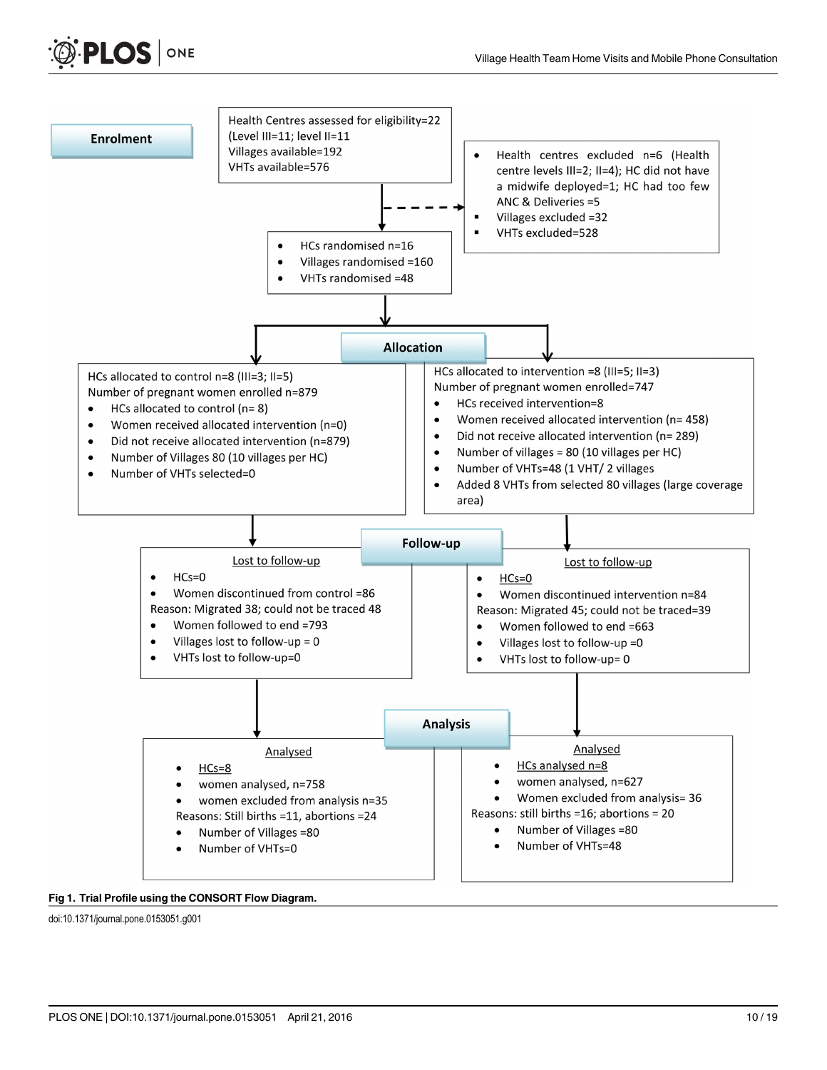<span id="page-9-0"></span>



#### [Fig 1. T](#page-7-0)rial Profile using the CONSORT Flow Diagram.

doi:10.1371/journal.pone.0153051.g001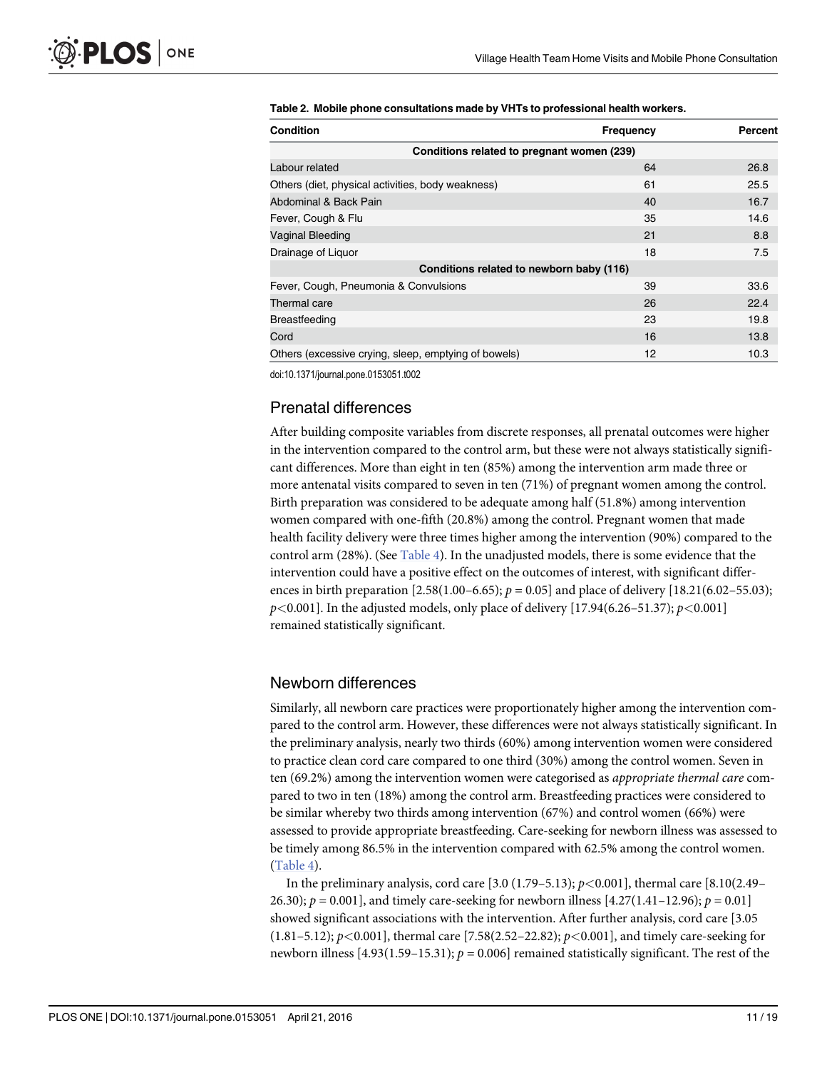| Condition                                            | Frequency | Percent |  |
|------------------------------------------------------|-----------|---------|--|
| Conditions related to pregnant women (239)           |           |         |  |
| Labour related                                       | 64        | 26.8    |  |
| Others (diet, physical activities, body weakness)    | 61        | 25.5    |  |
| Abdominal & Back Pain                                | 40        | 16.7    |  |
| Fever, Cough & Flu                                   | 35        | 14.6    |  |
| <b>Vaginal Bleeding</b>                              | 21        | 8.8     |  |
| Drainage of Liguor                                   | 18        | 7.5     |  |
| Conditions related to newborn baby (116)             |           |         |  |
| Fever, Cough, Pneumonia & Convulsions                | 39        | 33.6    |  |
| Thermal care                                         | 26        | 22.4    |  |
| <b>Breastfeeding</b>                                 | 23        | 19.8    |  |
| Cord                                                 | 16        | 13.8    |  |
| Others (excessive crying, sleep, emptying of bowels) | 12        | 10.3    |  |

#### <span id="page-10-0"></span>[Table 2.](#page-7-0) Mobile phone consultations made by VHTs to professional health workers.

doi:10.1371/journal.pone.0153051.t002

## Prenatal differences

After building composite variables from discrete responses, all prenatal outcomes were higher in the intervention compared to the control arm, but these were not always statistically significant differences. More than eight in ten (85%) among the intervention arm made three or more antenatal visits compared to seven in ten (71%) of pregnant women among the control. Birth preparation was considered to be adequate among half (51.8%) among intervention women compared with one-fifth (20.8%) among the control. Pregnant women that made health facility delivery were three times higher among the intervention (90%) compared to the control arm (28%). (See [Table 4\)](#page-13-0). In the unadjusted models, there is some evidence that the intervention could have a positive effect on the outcomes of interest, with significant differences in birth preparation  $[2.58(1.00-6.65); p = 0.05]$  and place of delivery  $[18.21(6.02-55.03);$  $p$ <0.001]. In the adjusted models, only place of delivery [17.94(6.26–51.37);  $p$ <0.001] remained statistically significant.

#### Newborn differences

Similarly, all newborn care practices were proportionately higher among the intervention compared to the control arm. However, these differences were not always statistically significant. In the preliminary analysis, nearly two thirds (60%) among intervention women were considered to practice clean cord care compared to one third (30%) among the control women. Seven in ten (69.2%) among the intervention women were categorised as appropriate thermal care compared to two in ten (18%) among the control arm. Breastfeeding practices were considered to be similar whereby two thirds among intervention (67%) and control women (66%) were assessed to provide appropriate breastfeeding. Care-seeking for newborn illness was assessed to be timely among 86.5% in the intervention compared with 62.5% among the control women. [\(Table 4\)](#page-13-0).

In the preliminary analysis, cord care [3.0 (1.79–5.13); p<0.001], thermal care [8.10(2.49– 26.30);  $p = 0.001$ , and timely care-seeking for newborn illness [4.27(1.41–12.96);  $p = 0.01$ ] showed significant associations with the intervention. After further analysis, cord care [3.05 (1.81–5.12);  $p < 0.001$ ], thermal care [7.58(2.52–22.82);  $p < 0.001$ ], and timely care-seeking for newborn illness [4.93(1.59–15.31);  $p = 0.006$ ] remained statistically significant. The rest of the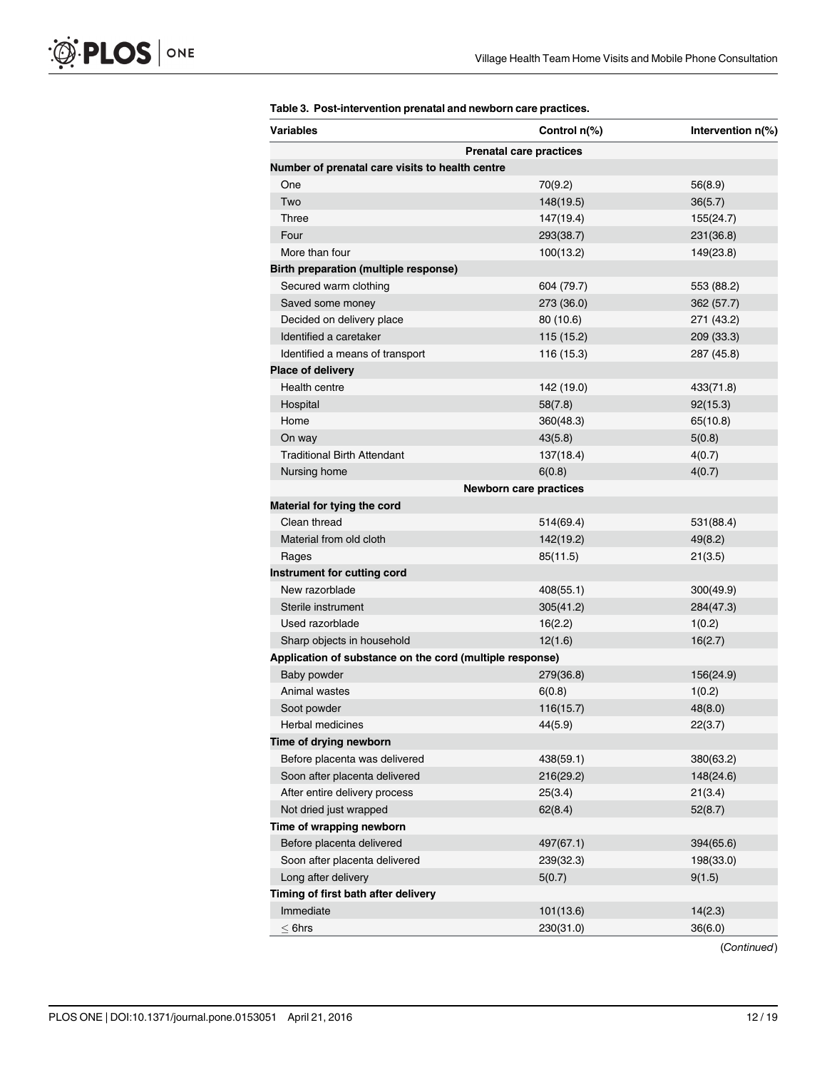<span id="page-11-0"></span>

| <b>Variables</b>                                         | Control $n$ <sup>(%)</sup>     | Intervention n(%) |
|----------------------------------------------------------|--------------------------------|-------------------|
|                                                          | <b>Prenatal care practices</b> |                   |
| Number of prenatal care visits to health centre          |                                |                   |
| One                                                      | 70(9.2)                        | 56(8.9)           |
| Two                                                      | 148(19.5)                      | 36(5.7)           |
| Three                                                    | 147(19.4)                      | 155(24.7)         |
| Four                                                     | 293(38.7)                      | 231(36.8)         |
| More than four                                           | 100(13.2)                      | 149(23.8)         |
| Birth preparation (multiple response)                    |                                |                   |
| Secured warm clothing                                    | 604 (79.7)                     | 553 (88.2)        |
| Saved some money                                         | 273 (36.0)                     | 362 (57.7)        |
| Decided on delivery place                                | 80 (10.6)                      | 271 (43.2)        |
| Identified a caretaker                                   | 115 (15.2)                     | 209 (33.3)        |
| Identified a means of transport                          | 116 (15.3)                     | 287 (45.8)        |
| Place of delivery                                        |                                |                   |
| Health centre                                            | 142 (19.0)                     | 433(71.8)         |
| Hospital                                                 | 58(7.8)                        | 92(15.3)          |
| Home                                                     | 360(48.3)                      | 65(10.8)          |
| On way                                                   | 43(5.8)                        | 5(0.8)            |
| <b>Traditional Birth Attendant</b>                       | 137(18.4)                      | 4(0.7)            |
| Nursing home                                             | 6(0.8)                         | 4(0.7)            |
|                                                          | <b>Newborn care practices</b>  |                   |
| Material for tying the cord                              |                                |                   |
| Clean thread                                             | 514(69.4)                      | 531(88.4)         |
| Material from old cloth                                  | 142(19.2)                      | 49(8.2)           |
| Rages                                                    | 85(11.5)                       | 21(3.5)           |
| Instrument for cutting cord                              |                                |                   |
| New razorblade                                           | 408(55.1)                      | 300(49.9)         |
| Sterile instrument                                       | 305(41.2)                      | 284(47.3)         |
| Used razorblade                                          | 16(2.2)                        | 1(0.2)            |
| Sharp objects in household                               | 12(1.6)                        | 16(2.7)           |
| Application of substance on the cord (multiple response) |                                |                   |
| Baby powder                                              | 279(36.8)                      | 156(24.9)         |
| Animal wastes                                            | 6(0.8)                         | 1(0.2)            |
| Soot powder                                              | 116(15.7)                      | 48(8.0)           |
| Herbal medicines                                         | 44(5.9)                        | 22(3.7)           |
| Time of drying newborn                                   |                                |                   |
| Before placenta was delivered                            | 438(59.1)                      | 380(63.2)         |
| Soon after placenta delivered                            | 216(29.2)                      | 148(24.6)         |
| After entire delivery process                            | 25(3.4)                        | 21(3.4)           |
| Not dried just wrapped                                   | 62(8.4)                        | 52(8.7)           |
| Time of wrapping newborn                                 |                                |                   |
| Before placenta delivered                                | 497(67.1)                      | 394(65.6)         |
| Soon after placenta delivered                            | 239(32.3)                      | 198(33.0)         |
| Long after delivery                                      | 5(0.7)                         | 9(1.5)            |
| Timing of first bath after delivery                      |                                |                   |
| Immediate                                                | 101(13.6)                      | 14(2.3)           |
| $<$ 6hrs                                                 | 230(31.0)                      | 36(6.0)           |

(Continued)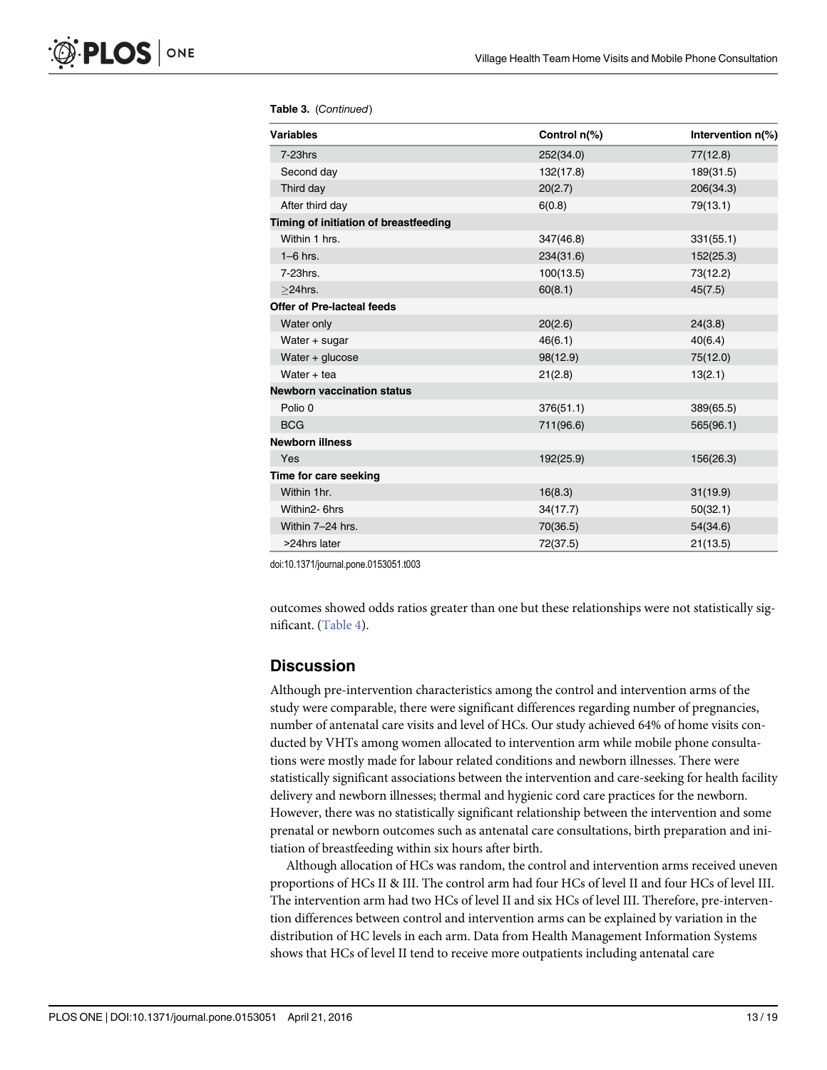| <b>Variables</b>                      | Control n(%) | Intervention n(%) |
|---------------------------------------|--------------|-------------------|
| $7-23$ hrs                            | 252(34.0)    | 77(12.8)          |
| Second day                            | 132(17.8)    | 189(31.5)         |
| Third day                             | 20(2.7)      | 206(34.3)         |
| After third day                       | 6(0.8)       | 79(13.1)          |
| Timing of initiation of breastfeeding |              |                   |
| Within 1 hrs.                         | 347(46.8)    | 331(55.1)         |
| $1-6$ hrs.                            | 234(31.6)    | 152(25.3)         |
| 7-23hrs.                              | 100(13.5)    | 73(12.2)          |
| $>24$ hrs.                            | 60(8.1)      | 45(7.5)           |
| Offer of Pre-lacteal feeds            |              |                   |
| Water only                            | 20(2.6)      | 24(3.8)           |
| Water $+$ sugar                       | 46(6.1)      | 40(6.4)           |
| Water $+$ glucose                     | 98(12.9)     | 75(12.0)          |
| Water $+$ tea                         | 21(2.8)      | 13(2.1)           |
| <b>Newborn vaccination status</b>     |              |                   |
| Polio <sub>0</sub>                    | 376(51.1)    | 389(65.5)         |
| <b>BCG</b>                            | 711(96.6)    | 565(96.1)         |
| <b>Newborn illness</b>                |              |                   |
| Yes                                   | 192(25.9)    | 156(26.3)         |
| Time for care seeking                 |              |                   |
| Within 1hr.                           | 16(8.3)      | 31(19.9)          |
| Within2-6hrs                          | 34(17.7)     | 50(32.1)          |
| Within 7-24 hrs.                      | 70(36.5)     | 54(34.6)          |
| >24hrs later                          | 72(37.5)     | 21(13.5)          |

Table 3. (Continued)

doi:10.1371/journal.pone.0153051.t003

outcomes showed odds ratios greater than one but these relationships were not statistically significant. [\(Table 4\)](#page-13-0).

#### **Discussion**

Although pre-intervention characteristics among the control and intervention arms of the study were comparable, there were significant differences regarding number of pregnancies, number of antenatal care visits and level of HCs. Our study achieved 64% of home visits conducted by VHTs among women allocated to intervention arm while mobile phone consultations were mostly made for labour related conditions and newborn illnesses. There were statistically significant associations between the intervention and care-seeking for health facility delivery and newborn illnesses; thermal and hygienic cord care practices for the newborn. However, there was no statistically significant relationship between the intervention and some prenatal or newborn outcomes such as antenatal care consultations, birth preparation and initiation of breastfeeding within six hours after birth.

Although allocation of HCs was random, the control and intervention arms received uneven proportions of HCs II & III. The control arm had four HCs of level II and four HCs of level III. The intervention arm had two HCs of level II and six HCs of level III. Therefore, pre-intervention differences between control and intervention arms can be explained by variation in the distribution of HC levels in each arm. Data from Health Management Information Systems shows that HCs of level II tend to receive more outpatients including antenatal care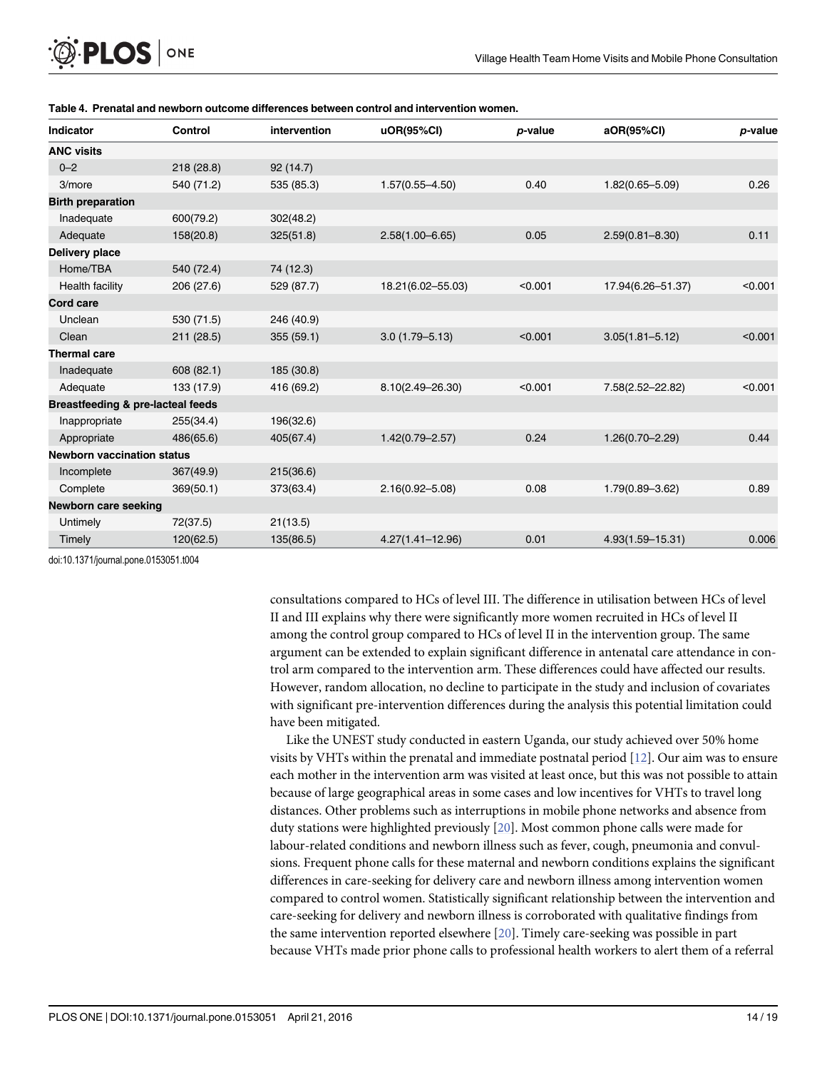| $\sim$ $\sim$ $\sim$ $\sim$ $\sim$ |                                                                                           |              |                      |         | <u>Village Fleatul Team Florile Visits and Mobile Flibrie Consultation</u> |         |  |
|------------------------------------|-------------------------------------------------------------------------------------------|--------------|----------------------|---------|----------------------------------------------------------------------------|---------|--|
|                                    | Table 4. Prenatal and newborn outcome differences between control and intervention women. |              |                      |         |                                                                            |         |  |
| <b>Indicator</b>                   | <b>Control</b>                                                                            | intervention | uOR(95%CI)           | p-value | aOR(95%CI)                                                                 | p-value |  |
| <b>ANC visits</b>                  |                                                                                           |              |                      |         |                                                                            |         |  |
| $0 - 2$                            | 218(28.8)                                                                                 | 92(14.7)     |                      |         |                                                                            |         |  |
| 3/more                             | 540 (71.2)                                                                                | 535 (85.3)   | $1.57(0.55 - 4.50)$  | 0.40    | $1.82(0.65 - 5.09)$                                                        | 0.26    |  |
| <b>Birth preparation</b>           |                                                                                           |              |                      |         |                                                                            |         |  |
| Inadequate                         | 600(79.2)                                                                                 | 302(48.2)    |                      |         |                                                                            |         |  |
| Adequate                           | 158(20.8)                                                                                 | 325(51.8)    | $2.58(1.00 - 6.65)$  | 0.05    | $2.59(0.81 - 8.30)$                                                        | 0.11    |  |
| Delivery place                     |                                                                                           |              |                      |         |                                                                            |         |  |
| Home/TBA                           | 540 (72.4)                                                                                | 74 (12.3)    |                      |         |                                                                            |         |  |
| <b>Health facility</b>             | 206 (27.6)                                                                                | 529 (87.7)   | 18.21(6.02-55.03)    | < 0.001 | 17.94(6.26-51.37)                                                          | < 0.001 |  |
| <b>Cord care</b>                   |                                                                                           |              |                      |         |                                                                            |         |  |
| Unclean                            | 530 (71.5)                                                                                | 246 (40.9)   |                      |         |                                                                            |         |  |
| Clean                              | 211(28.5)                                                                                 | 355(59.1)    | $3.0(1.79 - 5.13)$   | < 0.001 | $3.05(1.81 - 5.12)$                                                        | < 0.001 |  |
| <b>Thermal care</b>                |                                                                                           |              |                      |         |                                                                            |         |  |
| Inadequate                         | 608 (82.1)                                                                                | 185 (30.8)   |                      |         |                                                                            |         |  |
| Adequate                           | 133 (17.9)                                                                                | 416 (69.2)   | $8.10(2.49 - 26.30)$ | < 0.001 | 7.58(2.52-22.82)                                                           | < 0.001 |  |
| Breastfeeding & pre-lacteal feeds  |                                                                                           |              |                      |         |                                                                            |         |  |
| Inappropriate                      | 255(34.4)                                                                                 | 196(32.6)    |                      |         |                                                                            |         |  |
| Appropriate                        | 486(65.6)                                                                                 | 405(67.4)    | $1.42(0.79 - 2.57)$  | 0.24    | $1.26(0.70 - 2.29)$                                                        | 0.44    |  |
| <b>Newborn vaccination status</b>  |                                                                                           |              |                      |         |                                                                            |         |  |
| Incomplete                         | 367(49.9)                                                                                 | 215(36.6)    |                      |         |                                                                            |         |  |
| Complete                           | 369(50.1)                                                                                 | 373(63.4)    | $2.16(0.92 - 5.08)$  | 0.08    | $1.79(0.89 - 3.62)$                                                        | 0.89    |  |
| Newborn care seeking               |                                                                                           |              |                      |         |                                                                            |         |  |
| Untimely                           | 72(37.5)                                                                                  | 21(13.5)     |                      |         |                                                                            |         |  |

Timely 120(62.5) 135(86.5) 4.27(1.41–12.96) 0.01 4.93(1.59–15.31) 0.006

doi:10.1371/journal.pone.0153051.t004

<span id="page-13-0"></span> $\hat{m}$ . DI  $\bigcap_{\text{ONE}}$ 

consultations compared to HCs of level III. The difference in utilisation between HCs of level II and III explains why there were significantly more women recruited in HCs of level II among the control group compared to HCs of level II in the intervention group. The same argument can be extended to explain significant difference in antenatal care attendance in control arm compared to the intervention arm. These differences could have affected our results. However, random allocation, no decline to participate in the study and inclusion of covariates with significant pre-intervention differences during the analysis this potential limitation could have been mitigated.

Like the UNEST study conducted in eastern Uganda, our study achieved over 50% home visits by VHTs within the prenatal and immediate postnatal period  $[12]$  $[12]$  $[12]$ . Our aim was to ensure each mother in the intervention arm was visited at least once, but this was not possible to attain because of large geographical areas in some cases and low incentives for VHTs to travel long distances. Other problems such as interruptions in mobile phone networks and absence from duty stations were highlighted previously [\[20](#page-17-0)]. Most common phone calls were made for labour-related conditions and newborn illness such as fever, cough, pneumonia and convulsions. Frequent phone calls for these maternal and newborn conditions explains the significant differences in care-seeking for delivery care and newborn illness among intervention women compared to control women. Statistically significant relationship between the intervention and care-seeking for delivery and newborn illness is corroborated with qualitative findings from the same intervention reported elsewhere [\[20\]](#page-17-0). Timely care-seeking was possible in part because VHTs made prior phone calls to professional health workers to alert them of a referral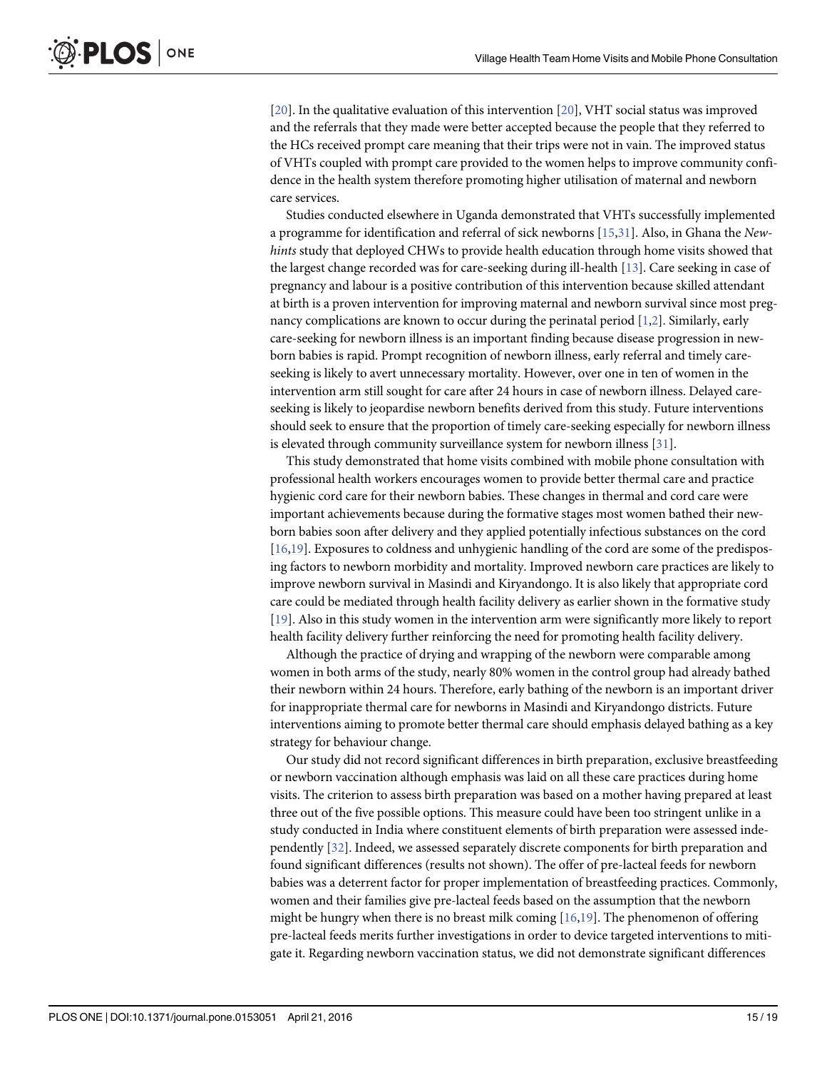<span id="page-14-0"></span>[\[20](#page-17-0)]. In the qualitative evaluation of this intervention [[20](#page-17-0)], VHT social status was improved and the referrals that they made were better accepted because the people that they referred to the HCs received prompt care meaning that their trips were not in vain. The improved status of VHTs coupled with prompt care provided to the women helps to improve community confidence in the health system therefore promoting higher utilisation of maternal and newborn care services.

Studies conducted elsewhere in Uganda demonstrated that VHTs successfully implemented a programme for identification and referral of sick newborns [[15](#page-17-0),[31](#page-18-0)]. Also, in Ghana the Newhints study that deployed CHWs to provide health education through home visits showed that the largest change recorded was for care-seeking during ill-health [\[13\]](#page-17-0). Care seeking in case of pregnancy and labour is a positive contribution of this intervention because skilled attendant at birth is a proven intervention for improving maternal and newborn survival since most pregnancy complications are known to occur during the perinatal period [[1](#page-16-0),[2](#page-16-0)]. Similarly, early care-seeking for newborn illness is an important finding because disease progression in newborn babies is rapid. Prompt recognition of newborn illness, early referral and timely careseeking is likely to avert unnecessary mortality. However, over one in ten of women in the intervention arm still sought for care after 24 hours in case of newborn illness. Delayed careseeking is likely to jeopardise newborn benefits derived from this study. Future interventions should seek to ensure that the proportion of timely care-seeking especially for newborn illness is elevated through community surveillance system for newborn illness [[31](#page-18-0)].

This study demonstrated that home visits combined with mobile phone consultation with professional health workers encourages women to provide better thermal care and practice hygienic cord care for their newborn babies. These changes in thermal and cord care were important achievements because during the formative stages most women bathed their newborn babies soon after delivery and they applied potentially infectious substances on the cord [\[16,19\]](#page-17-0). Exposures to coldness and unhygienic handling of the cord are some of the predisposing factors to newborn morbidity and mortality. Improved newborn care practices are likely to improve newborn survival in Masindi and Kiryandongo. It is also likely that appropriate cord care could be mediated through health facility delivery as earlier shown in the formative study [\[19](#page-17-0)]. Also in this study women in the intervention arm were significantly more likely to report health facility delivery further reinforcing the need for promoting health facility delivery.

Although the practice of drying and wrapping of the newborn were comparable among women in both arms of the study, nearly 80% women in the control group had already bathed their newborn within 24 hours. Therefore, early bathing of the newborn is an important driver for inappropriate thermal care for newborns in Masindi and Kiryandongo districts. Future interventions aiming to promote better thermal care should emphasis delayed bathing as a key strategy for behaviour change.

Our study did not record significant differences in birth preparation, exclusive breastfeeding or newborn vaccination although emphasis was laid on all these care practices during home visits. The criterion to assess birth preparation was based on a mother having prepared at least three out of the five possible options. This measure could have been too stringent unlike in a study conducted in India where constituent elements of birth preparation were assessed independently [\[32\]](#page-18-0). Indeed, we assessed separately discrete components for birth preparation and found significant differences (results not shown). The offer of pre-lacteal feeds for newborn babies was a deterrent factor for proper implementation of breastfeeding practices. Commonly, women and their families give pre-lacteal feeds based on the assumption that the newborn might be hungry when there is no breast milk coming  $[16,19]$  $[16,19]$  $[16,19]$  $[16,19]$  $[16,19]$ . The phenomenon of offering pre-lacteal feeds merits further investigations in order to device targeted interventions to mitigate it. Regarding newborn vaccination status, we did not demonstrate significant differences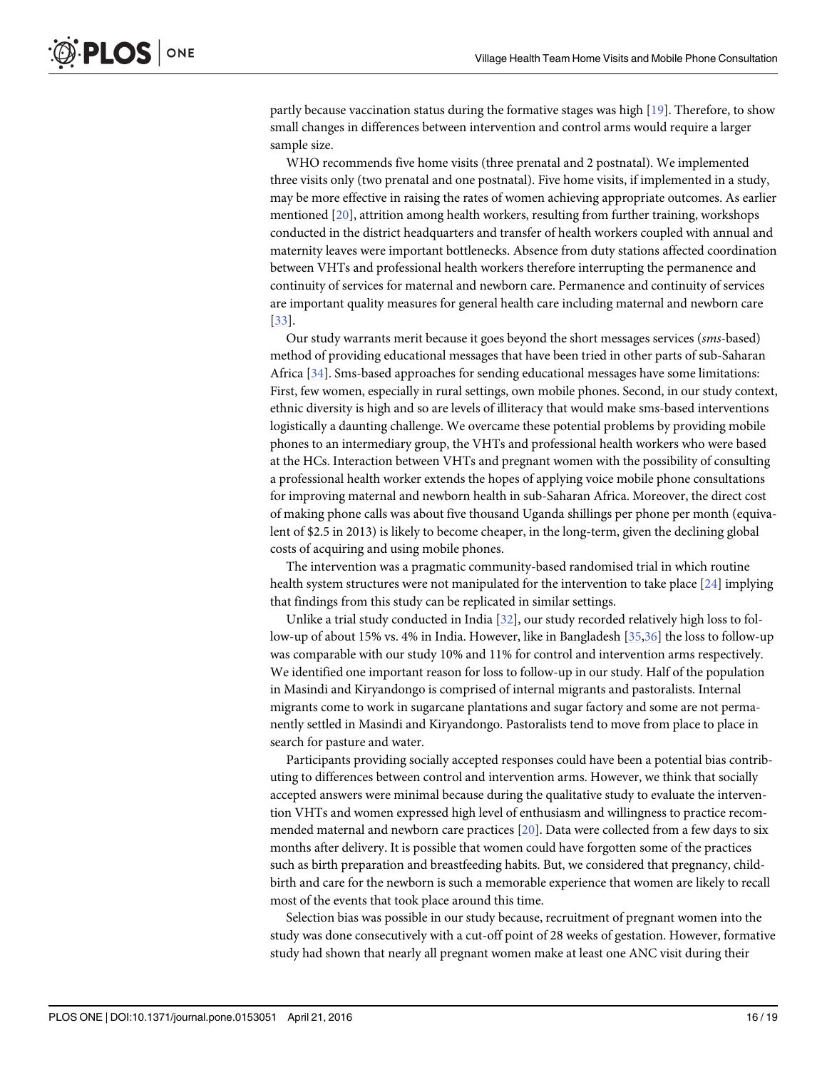<span id="page-15-0"></span>partly because vaccination status during the formative stages was high [\[19\]](#page-17-0). Therefore, to show small changes in differences between intervention and control arms would require a larger sample size.

WHO recommends five home visits (three prenatal and 2 postnatal). We implemented three visits only (two prenatal and one postnatal). Five home visits, if implemented in a study, may be more effective in raising the rates of women achieving appropriate outcomes. As earlier mentioned [[20](#page-17-0)], attrition among health workers, resulting from further training, workshops conducted in the district headquarters and transfer of health workers coupled with annual and maternity leaves were important bottlenecks. Absence from duty stations affected coordination between VHTs and professional health workers therefore interrupting the permanence and continuity of services for maternal and newborn care. Permanence and continuity of services are important quality measures for general health care including maternal and newborn care [\[33](#page-18-0)].

Our study warrants merit because it goes beyond the short messages services (*sms*-based) method of providing educational messages that have been tried in other parts of sub-Saharan Africa [\[34\]](#page-18-0). Sms-based approaches for sending educational messages have some limitations: First, few women, especially in rural settings, own mobile phones. Second, in our study context, ethnic diversity is high and so are levels of illiteracy that would make sms-based interventions logistically a daunting challenge. We overcame these potential problems by providing mobile phones to an intermediary group, the VHTs and professional health workers who were based at the HCs. Interaction between VHTs and pregnant women with the possibility of consulting a professional health worker extends the hopes of applying voice mobile phone consultations for improving maternal and newborn health in sub-Saharan Africa. Moreover, the direct cost of making phone calls was about five thousand Uganda shillings per phone per month (equivalent of \$2.5 in 2013) is likely to become cheaper, in the long-term, given the declining global costs of acquiring and using mobile phones.

The intervention was a pragmatic community-based randomised trial in which routine health system structures were not manipulated for the intervention to take place [[24](#page-17-0)] implying that findings from this study can be replicated in similar settings.

Unlike a trial study conducted in India [[32](#page-18-0)], our study recorded relatively high loss to follow-up of about 15% vs. 4% in India. However, like in Bangladesh [[35,36\]](#page-18-0) the loss to follow-up was comparable with our study 10% and 11% for control and intervention arms respectively. We identified one important reason for loss to follow-up in our study. Half of the population in Masindi and Kiryandongo is comprised of internal migrants and pastoralists. Internal migrants come to work in sugarcane plantations and sugar factory and some are not permanently settled in Masindi and Kiryandongo. Pastoralists tend to move from place to place in search for pasture and water.

Participants providing socially accepted responses could have been a potential bias contributing to differences between control and intervention arms. However, we think that socially accepted answers were minimal because during the qualitative study to evaluate the intervention VHTs and women expressed high level of enthusiasm and willingness to practice recommended maternal and newborn care practices [\[20](#page-17-0)]. Data were collected from a few days to six months after delivery. It is possible that women could have forgotten some of the practices such as birth preparation and breastfeeding habits. But, we considered that pregnancy, childbirth and care for the newborn is such a memorable experience that women are likely to recall most of the events that took place around this time.

Selection bias was possible in our study because, recruitment of pregnant women into the study was done consecutively with a cut-off point of 28 weeks of gestation. However, formative study had shown that nearly all pregnant women make at least one ANC visit during their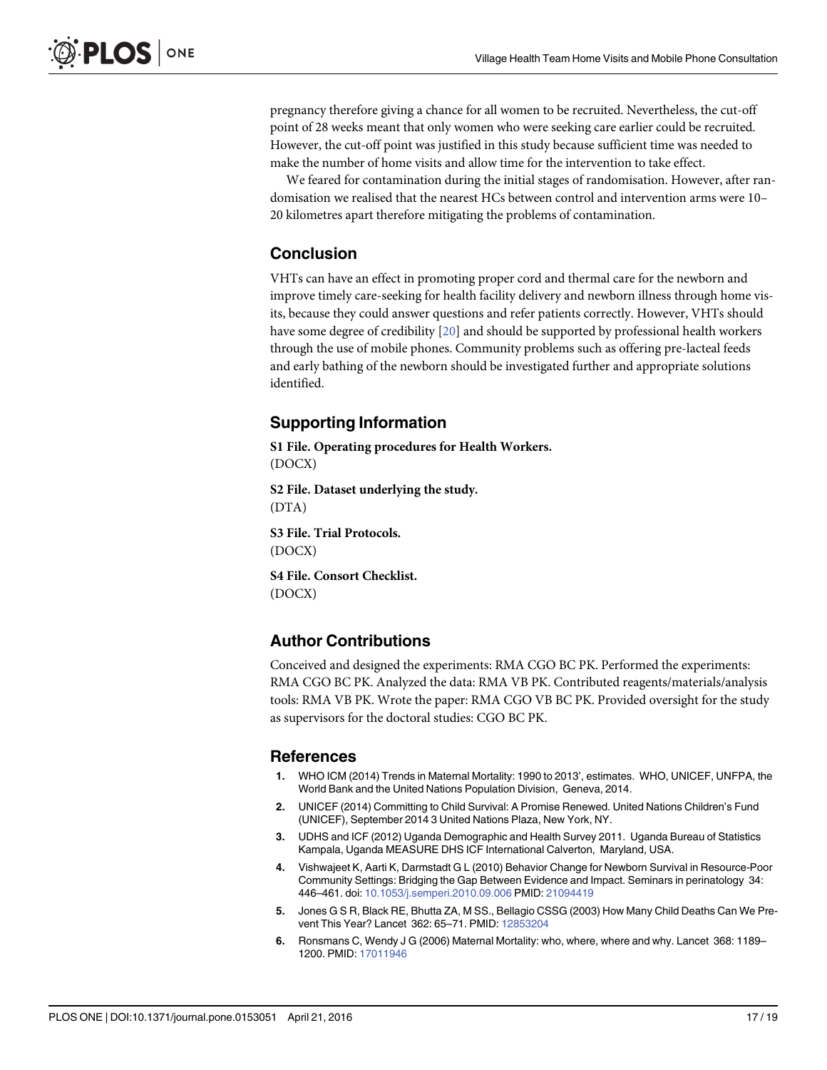<span id="page-16-0"></span>pregnancy therefore giving a chance for all women to be recruited. Nevertheless, the cut-off point of 28 weeks meant that only women who were seeking care earlier could be recruited. However, the cut-off point was justified in this study because sufficient time was needed to make the number of home visits and allow time for the intervention to take effect.

We feared for contamination during the initial stages of randomisation. However, after randomisation we realised that the nearest HCs between control and intervention arms were 10– 20 kilometres apart therefore mitigating the problems of contamination.

## Conclusion

VHTs can have an effect in promoting proper cord and thermal care for the newborn and improve timely care-seeking for health facility delivery and newborn illness through home visits, because they could answer questions and refer patients correctly. However, VHTs should have some degree of credibility [[20](#page-17-0)] and should be supported by professional health workers through the use of mobile phones. Community problems such as offering pre-lacteal feeds and early bathing of the newborn should be investigated further and appropriate solutions identified.

## Supporting Information

[S1 File.](http://www.plosone.org/article/fetchSingleRepresentation.action?uri=info:doi/10.1371/journal.pone.0153051.s001) Operating procedures for Health Workers. (DOCX)

[S2 File.](http://www.plosone.org/article/fetchSingleRepresentation.action?uri=info:doi/10.1371/journal.pone.0153051.s002) Dataset underlying the study. (DTA)

[S3 File.](http://www.plosone.org/article/fetchSingleRepresentation.action?uri=info:doi/10.1371/journal.pone.0153051.s003) Trial Protocols. (DOCX)

[S4 File.](http://www.plosone.org/article/fetchSingleRepresentation.action?uri=info:doi/10.1371/journal.pone.0153051.s004) Consort Checklist. (DOCX)

## Author Contributions

Conceived and designed the experiments: RMA CGO BC PK. Performed the experiments: RMA CGO BC PK. Analyzed the data: RMA VB PK. Contributed reagents/materials/analysis tools: RMA VB PK. Wrote the paper: RMA CGO VB BC PK. Provided oversight for the study as supervisors for the doctoral studies: CGO BC PK.

## References

- [1.](#page-1-0) WHO ICM (2014) Trends in Maternal Mortality: 1990 to 2013', estimates. WHO, UNICEF, UNFPA, the World Bank and the United Nations Population Division, Geneva, 2014.
- [2.](#page-1-0) UNICEF (2014) Committing to Child Survival: A Promise Renewed. United Nations Children's Fund (UNICEF), September 2014 3 United Nations Plaza, New York, NY.
- [3.](#page-1-0) UDHS and ICF (2012) Uganda Demographic and Health Survey 2011. Uganda Bureau of Statistics Kampala, Uganda MEASURE DHS ICF International Calverton, Maryland, USA.
- [4.](#page-1-0) Vishwajeet K, Aarti K, Darmstadt G L (2010) Behavior Change for Newborn Survival in Resource-Poor Community Settings: Bridging the Gap Between Evidence and Impact. Seminars in perinatology 34: 446–461. doi: [10.1053/j.semperi.2010.09.006](http://dx.doi.org/10.1053/j.semperi.2010.09.006) PMID: [21094419](http://www.ncbi.nlm.nih.gov/pubmed/21094419)
- [5.](#page-1-0) Jones G S R, Black RE, Bhutta ZA, M SS., Bellagio CSSG (2003) How Many Child Deaths Can We Prevent This Year? Lancet 362: 65–71. PMID: [12853204](http://www.ncbi.nlm.nih.gov/pubmed/12853204)
- [6.](#page-1-0) Ronsmans C, Wendy J G (2006) Maternal Mortality: who, where, where and why. Lancet 368: 1189– 1200. PMID: [17011946](http://www.ncbi.nlm.nih.gov/pubmed/17011946)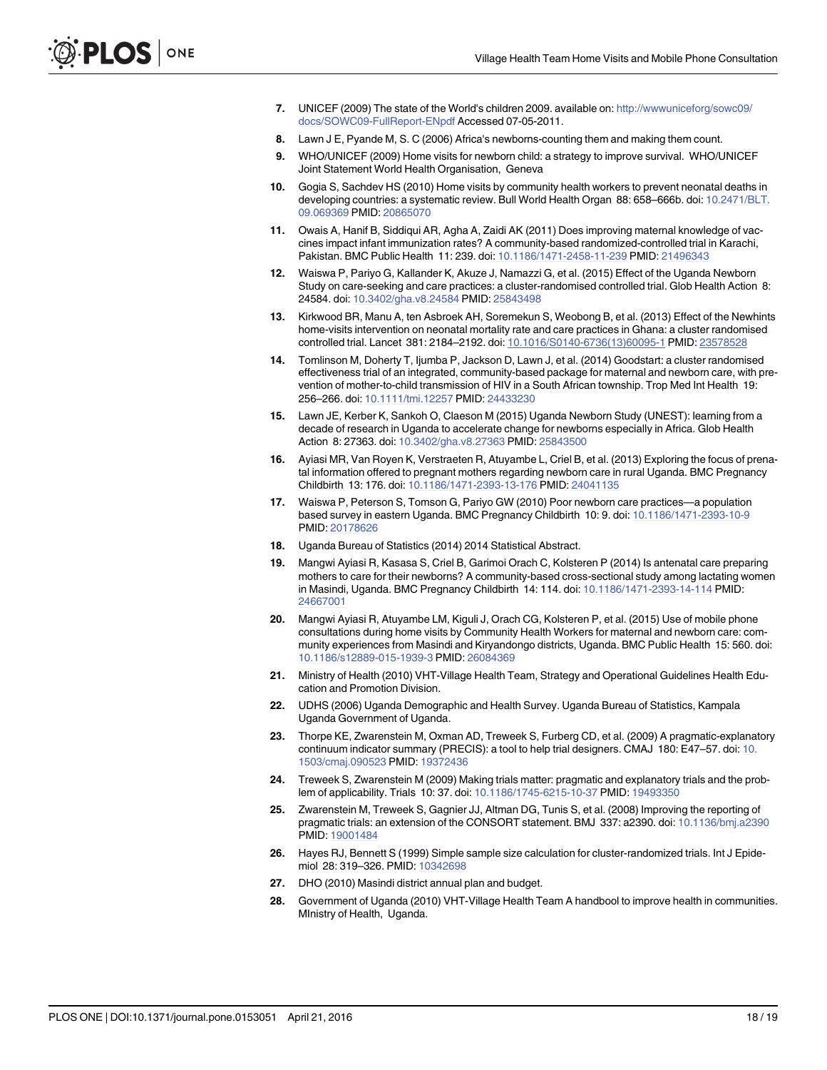- <span id="page-17-0"></span>[7.](#page-1-0) UNICEF (2009) The state of the World's children 2009. available on: [http://wwwuniceforg/sowc09/](http://wwwuniceforg/sowc09/docs/SOWC09-FullReport-ENpdf) [docs/SOWC09-FullReport-ENpdf](http://wwwuniceforg/sowc09/docs/SOWC09-FullReport-ENpdf) Accessed 07-05-2011.
- [8.](#page-1-0) Lawn J E, Pyande M, S. C (2006) Africa's newborns-counting them and making them count.
- [9.](#page-1-0) WHO/UNICEF (2009) Home visits for newborn child: a strategy to improve survival. WHO/UNICEF Joint Statement World Health Organisation, Geneva
- [10.](#page-1-0) Gogia S, Sachdev HS (2010) Home visits by community health workers to prevent neonatal deaths in developing countries: a systematic review. Bull World Health Organ 88: 658–666b. doi: [10.2471/BLT.](http://dx.doi.org/10.2471/BLT.09.069369) [09.069369](http://dx.doi.org/10.2471/BLT.09.069369) PMID: [20865070](http://www.ncbi.nlm.nih.gov/pubmed/20865070)
- [11.](#page-1-0) Owais A, Hanif B, Siddiqui AR, Agha A, Zaidi AK (2011) Does improving maternal knowledge of vaccines impact infant immunization rates? A community-based randomized-controlled trial in Karachi, Pakistan. BMC Public Health 11: 239. doi: [10.1186/1471-2458-11-239](http://dx.doi.org/10.1186/1471-2458-11-239) PMID: [21496343](http://www.ncbi.nlm.nih.gov/pubmed/21496343)
- [12.](#page-1-0) Waiswa P, Pariyo G, Kallander K, Akuze J, Namazzi G, et al. (2015) Effect of the Uganda Newborn Study on care-seeking and care practices: a cluster-randomised controlled trial. Glob Health Action 8: 24584. doi: [10.3402/gha.v8.24584](http://dx.doi.org/10.3402/gha.v8.24584) PMID: [25843498](http://www.ncbi.nlm.nih.gov/pubmed/25843498)
- [13.](#page-14-0) Kirkwood BR, Manu A, ten Asbroek AH, Soremekun S, Weobong B, et al. (2013) Effect of the Newhints home-visits intervention on neonatal mortality rate and care practices in Ghana: a cluster randomised controlled trial. Lancet 381: 2184–2192. doi: [10.1016/S0140-6736\(13\)60095-1](http://dx.doi.org/10.1016/S0140-6736(13)60095-1) PMID: [23578528](http://www.ncbi.nlm.nih.gov/pubmed/23578528)
- [14.](#page-1-0) Tomlinson M, Doherty T, Ijumba P, Jackson D, Lawn J, et al. (2014) Goodstart: a cluster randomised effectiveness trial of an integrated, community-based package for maternal and newborn care, with prevention of mother-to-child transmission of HIV in a South African township. Trop Med Int Health 19: 256–266. doi: [10.1111/tmi.12257](http://dx.doi.org/10.1111/tmi.12257) PMID: [24433230](http://www.ncbi.nlm.nih.gov/pubmed/24433230)
- [15.](#page-1-0) Lawn JE, Kerber K, Sankoh O, Claeson M (2015) Uganda Newborn Study (UNEST): learning from a decade of research in Uganda to accelerate change for newborns especially in Africa. Glob Health Action 8: 27363. doi: [10.3402/gha.v8.27363](http://dx.doi.org/10.3402/gha.v8.27363) PMID: [25843500](http://www.ncbi.nlm.nih.gov/pubmed/25843500)
- [16.](#page-1-0) Ayiasi MR, Van Royen K, Verstraeten R, Atuyambe L, Criel B, et al. (2013) Exploring the focus of prenatal information offered to pregnant mothers regarding newborn care in rural Uganda. BMC Pregnancy Childbirth 13: 176. doi: [10.1186/1471-2393-13-176](http://dx.doi.org/10.1186/1471-2393-13-176) PMID: [24041135](http://www.ncbi.nlm.nih.gov/pubmed/24041135)
- [17.](#page-1-0) Waiswa P, Peterson S, Tomson G, Pariyo GW (2010) Poor newborn care practices—a population based survey in eastern Uganda. BMC Pregnancy Childbirth 10: 9. doi: [10.1186/1471-2393-10-9](http://dx.doi.org/10.1186/1471-2393-10-9) PMID: [20178626](http://www.ncbi.nlm.nih.gov/pubmed/20178626)
- [18.](#page-2-0) Uganda Bureau of Statistics (2014) 2014 Statistical Abstract.
- [19.](#page-2-0) Mangwi Ayiasi R, Kasasa S, Criel B, Garimoi Orach C, Kolsteren P (2014) Is antenatal care preparing mothers to care for their newborns? A community-based cross-sectional study among lactating women in Masindi, Uganda. BMC Pregnancy Childbirth 14: 114. doi: [10.1186/1471-2393-14-114](http://dx.doi.org/10.1186/1471-2393-14-114) PMID: [24667001](http://www.ncbi.nlm.nih.gov/pubmed/24667001)
- [20.](#page-2-0) Mangwi Ayiasi R, Atuyambe LM, Kiguli J, Orach CG, Kolsteren P, et al. (2015) Use of mobile phone consultations during home visits by Community Health Workers for maternal and newborn care: community experiences from Masindi and Kiryandongo districts, Uganda. BMC Public Health 15: 560. doi: [10.1186/s12889-015-1939-3](http://dx.doi.org/10.1186/s12889-015-1939-3) PMID: [26084369](http://www.ncbi.nlm.nih.gov/pubmed/26084369)
- [21.](#page-2-0) Ministry of Health (2010) VHT-Village Health Team, Strategy and Operational Guidelines Health Education and Promotion Division.
- [22.](#page-2-0) UDHS (2006) Uganda Demographic and Health Survey. Uganda Bureau of Statistics, Kampala Uganda Government of Uganda.
- [23.](#page-2-0) Thorpe KE, Zwarenstein M, Oxman AD, Treweek S, Furberg CD, et al. (2009) A pragmatic-explanatory continuum indicator summary (PRECIS): a tool to help trial designers. CMAJ 180: E47-57. doi: [10.](http://dx.doi.org/10.1503/cmaj.090523) [1503/cmaj.090523](http://dx.doi.org/10.1503/cmaj.090523) PMID: [19372436](http://www.ncbi.nlm.nih.gov/pubmed/19372436)
- [24.](#page-15-0) Treweek S, Zwarenstein M (2009) Making trials matter: pragmatic and explanatory trials and the problem of applicability. Trials 10: 37. doi: [10.1186/1745-6215-10-37](http://dx.doi.org/10.1186/1745-6215-10-37) PMID: [19493350](http://www.ncbi.nlm.nih.gov/pubmed/19493350)
- [25.](#page-2-0) Zwarenstein M, Treweek S, Gagnier JJ, Altman DG, Tunis S, et al. (2008) Improving the reporting of pragmatic trials: an extension of the CONSORT statement. BMJ 337: a2390. doi: [10.1136/bmj.a2390](http://dx.doi.org/10.1136/bmj.a2390) PMID: [19001484](http://www.ncbi.nlm.nih.gov/pubmed/19001484)
- [26.](#page-3-0) Hayes RJ, Bennett S (1999) Simple sample size calculation for cluster-randomized trials. Int J Epidemiol 28: 319–326. PMID: [10342698](http://www.ncbi.nlm.nih.gov/pubmed/10342698)
- [27.](#page-3-0) DHO (2010) Masindi district annual plan and budget.
- [28.](#page-4-0) Government of Uganda (2010) VHT-Village Health Team A handbool to improve health in communities. MInistry of Health, Uganda.